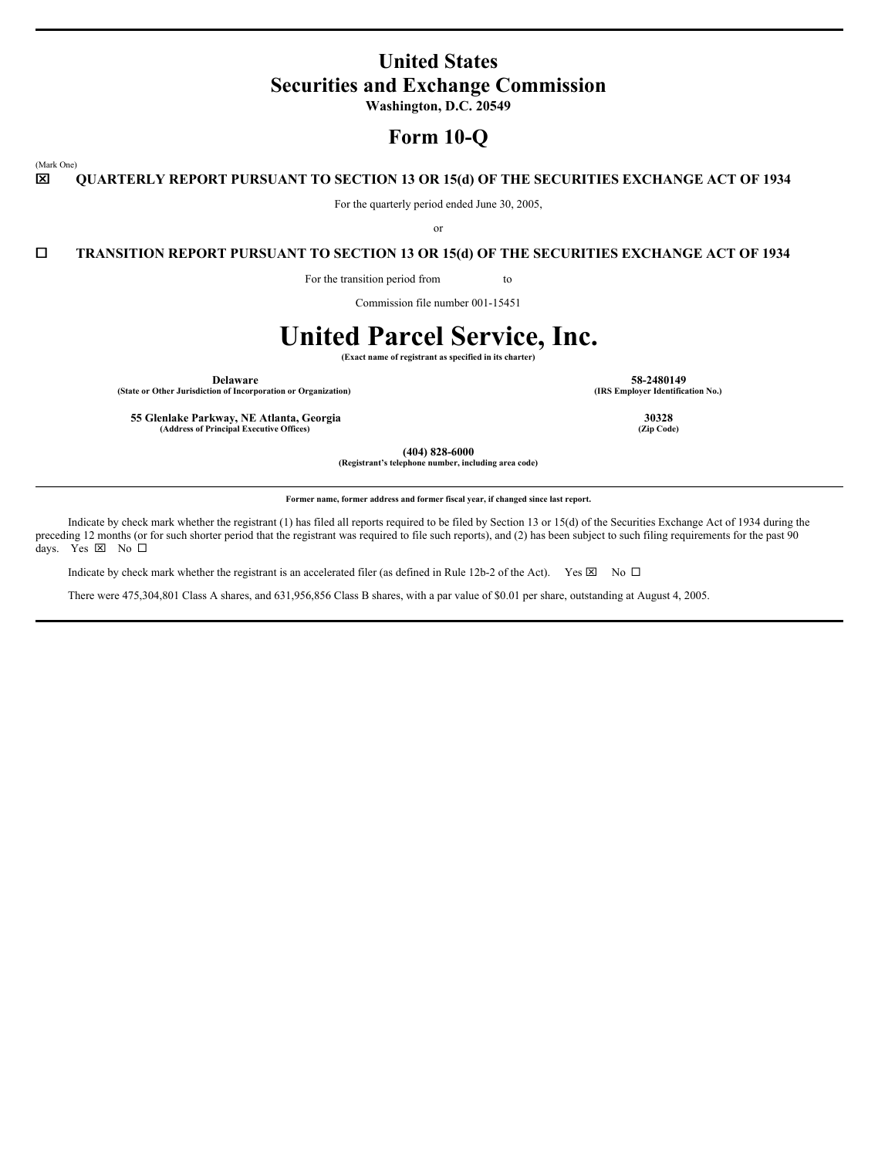# **United States Securities and Exchange Commission**

**Washington, D.C. 20549**

# **Form 10-Q**

(Mark One)

x **QUARTERLY REPORT PURSUANT TO SECTION 13 OR 15(d) OF THE SECURITIES EXCHANGE ACT OF 1934**

For the quarterly period ended June 30, 2005,

or

# ¨ **TRANSITION REPORT PURSUANT TO SECTION 13 OR 15(d) OF THE SECURITIES EXCHANGE ACT OF 1934**

For the transition period from to

Commission file number 001-15451

# **United Parcel Service, Inc.**

**(Exact name of registrant as specified in its charter)**

 $(A$ ddress of **Principal Executive** Offices)

**Delaware 58-2480149 (State or Other Jurisdiction of Incorporation or Organization) (IRS Employer Identification No.)**

**55 Glenlake Parkway, NE Atlanta, Georgia 30328**

**(404) 828-6000**

**(Registrant's telephone number, including area code)**

**Former name, former address and former fiscal year, if changed since last report.**

Indicate by check mark whether the registrant (1) has filed all reports required to be filed by Section 13 or 15(d) of the Securities Exchange Act of 1934 during the preceding 12 months (or for such shorter period that the registrant was required to file such reports), and (2) has been subject to such filing requirements for the past 90 days. Yes  $\boxtimes$  No  $\square$ 

Indicate by check mark whether the registrant is an accelerated filer (as defined in Rule 12b-2 of the Act). Yes  $\boxtimes$  No  $\Box$ 

There were 475,304,801 Class A shares, and 631,956,856 Class B shares, with a par value of \$0.01 per share, outstanding at August 4, 2005.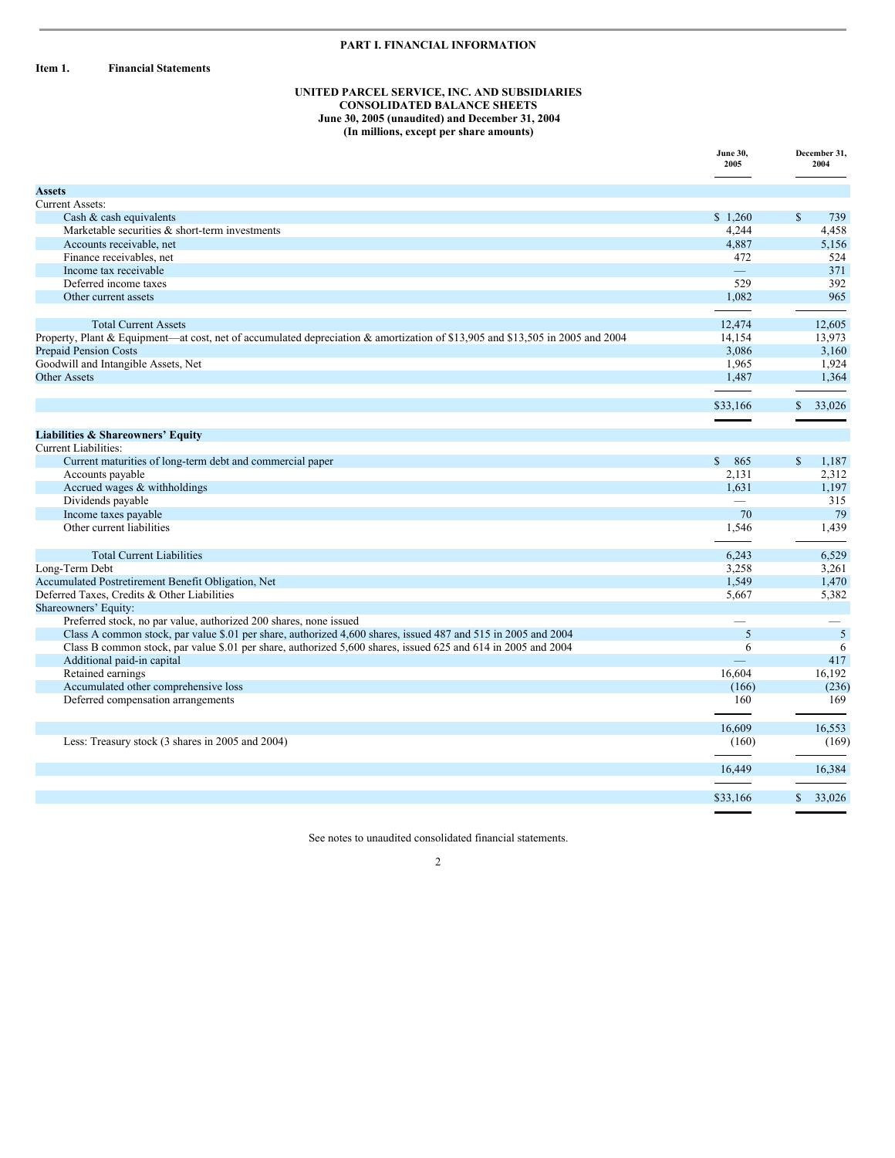# **PART I. FINANCIAL INFORMATION**

**Item 1. Financial Statements**

# **UNITED PARCEL SERVICE, INC. AND SUBSIDIARIES CONSOLIDATED BALANCE SHEETS June 30, 2005 (unaudited) and December 31, 2004 (In millions, except per share amounts)**

|                                                                                                                               | <b>June 30,</b><br>2005  | December 31,<br>2004   |
|-------------------------------------------------------------------------------------------------------------------------------|--------------------------|------------------------|
| <b>Assets</b>                                                                                                                 |                          |                        |
| <b>Current Assets:</b>                                                                                                        |                          |                        |
| Cash & cash equivalents                                                                                                       | \$1.260                  | S<br>739               |
| Marketable securities & short-term investments                                                                                | 4,244                    | 4,458                  |
| Accounts receivable, net                                                                                                      | 4,887                    | 5,156                  |
| Finance receivables, net                                                                                                      | 472                      | 524                    |
| Income tax receivable                                                                                                         | $\overline{\phantom{0}}$ | 371                    |
| Deferred income taxes                                                                                                         | 529                      | 392                    |
| Other current assets                                                                                                          | 1,082                    | 965                    |
| <b>Total Current Assets</b>                                                                                                   | 12.474                   | 12,605                 |
| Property, Plant & Equipment—at cost, net of accumulated depreciation & amortization of \$13,905 and \$13,505 in 2005 and 2004 | 14,154                   | 13,973                 |
| Prepaid Pension Costs                                                                                                         | 3,086                    | 3,160                  |
| Goodwill and Intangible Assets, Net                                                                                           | 1,965                    | 1,924                  |
| <b>Other Assets</b>                                                                                                           | 1,487                    | 1,364                  |
|                                                                                                                               |                          |                        |
|                                                                                                                               | \$33,166                 | \$33.026               |
|                                                                                                                               |                          |                        |
| <b>Liabilities &amp; Shareowners' Equity</b>                                                                                  |                          |                        |
| <b>Current Liabilities:</b>                                                                                                   |                          |                        |
| Current maturities of long-term debt and commercial paper                                                                     | S<br>865                 | $\mathbb{S}$<br>1,187  |
| Accounts payable                                                                                                              | 2,131                    | 2,312                  |
| Accrued wages & withholdings                                                                                                  | 1,631                    | 1,197                  |
| Dividends payable                                                                                                             |                          | 315                    |
| Income taxes payable                                                                                                          | 70                       | 79                     |
| Other current liabilities                                                                                                     | 1,546                    | 1,439                  |
| <b>Total Current Liabilities</b>                                                                                              | 6,243                    | 6,529                  |
| Long-Term Debt                                                                                                                | 3,258                    | 3,261                  |
| Accumulated Postretirement Benefit Obligation, Net                                                                            | 1,549                    | 1,470                  |
| Deferred Taxes, Credits & Other Liabilities                                                                                   | 5,667                    | 5,382                  |
| Shareowners' Equity:                                                                                                          |                          |                        |
| Preferred stock, no par value, authorized 200 shares, none issued                                                             |                          |                        |
| Class A common stock, par value \$.01 per share, authorized 4,600 shares, issued 487 and 515 in 2005 and 2004                 | 5                        | 5                      |
| Class B common stock, par value \$.01 per share, authorized 5,600 shares, issued 625 and 614 in 2005 and 2004                 | 6                        | 6                      |
| Additional paid-in capital                                                                                                    |                          | 417                    |
| Retained earnings                                                                                                             | 16,604                   | 16,192                 |
| Accumulated other comprehensive loss                                                                                          | (166)                    | (236)                  |
| Deferred compensation arrangements                                                                                            | 160                      | 169                    |
|                                                                                                                               | 16.609                   | 16,553                 |
|                                                                                                                               |                          |                        |
| Less: Treasury stock (3 shares in 2005 and 2004)                                                                              | (160)                    | (169)                  |
|                                                                                                                               | 16.449                   | 16,384                 |
|                                                                                                                               | \$33,166                 | 33,026<br>$\mathbb{S}$ |
|                                                                                                                               |                          |                        |

See notes to unaudited consolidated financial statements.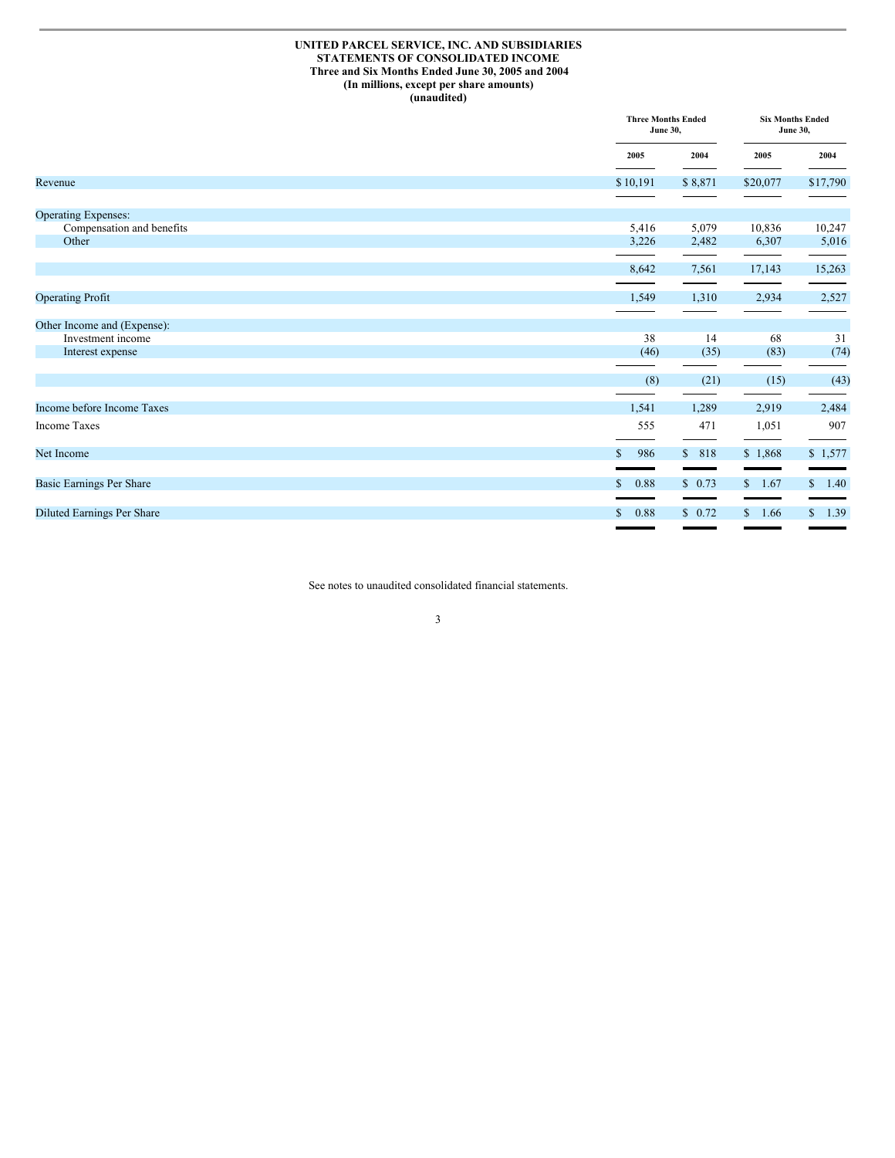# **UNITED PARCEL SERVICE, INC. AND SUBSIDIARIES STATEMENTS OF CONSOLIDATED INCOME Three and Six Months Ended June 30, 2005 and 2004 (In millions, except per share amounts) (unaudited)**

|                                   |              | <b>Three Months Ended</b><br><b>June 30,</b> |         | <b>Six Months Ended</b><br><b>June 30,</b> |                      |
|-----------------------------------|--------------|----------------------------------------------|---------|--------------------------------------------|----------------------|
|                                   | 2005         |                                              | 2004    | 2005                                       | 2004                 |
| Revenue                           | \$10,191     |                                              | \$8,871 | \$20,077                                   | \$17,790             |
| <b>Operating Expenses:</b>        |              |                                              |         |                                            |                      |
| Compensation and benefits         | 5,416        |                                              | 5,079   | 10,836                                     | 10,247               |
| Other                             | 3,226        |                                              | 2,482   | 6,307                                      | 5,016                |
|                                   | 8,642        |                                              | 7,561   | 17,143                                     | 15,263               |
| <b>Operating Profit</b>           | 1,549        |                                              | 1,310   | 2,934                                      | 2,527                |
| Other Income and (Expense):       |              |                                              |         |                                            |                      |
| Investment income                 |              | 38                                           | 14      | 68                                         | 31                   |
| Interest expense                  |              | (46)                                         | (35)    | (83)                                       | (74)                 |
|                                   |              | (8)                                          | (21)    | (15)                                       | (43)                 |
| Income before Income Taxes        | 1,541        |                                              | 1,289   | 2,919                                      | 2,484                |
| <b>Income Taxes</b>               |              | 555                                          | 471     | 1,051                                      | 907                  |
| Net Income                        | $\mathbf S$  | 986                                          | \$818   | \$1,868                                    | \$1,577              |
|                                   |              |                                              |         |                                            |                      |
| <b>Basic Earnings Per Share</b>   | \$<br>0.88   |                                              | \$0.73  | \$1.67                                     | \$1.40               |
| <b>Diluted Earnings Per Share</b> | $\mathbb{S}$ | 0.88                                         | \$0.72  | \$1.66                                     | 1.39<br>$\mathbb{S}$ |

See notes to unaudited consolidated financial statements.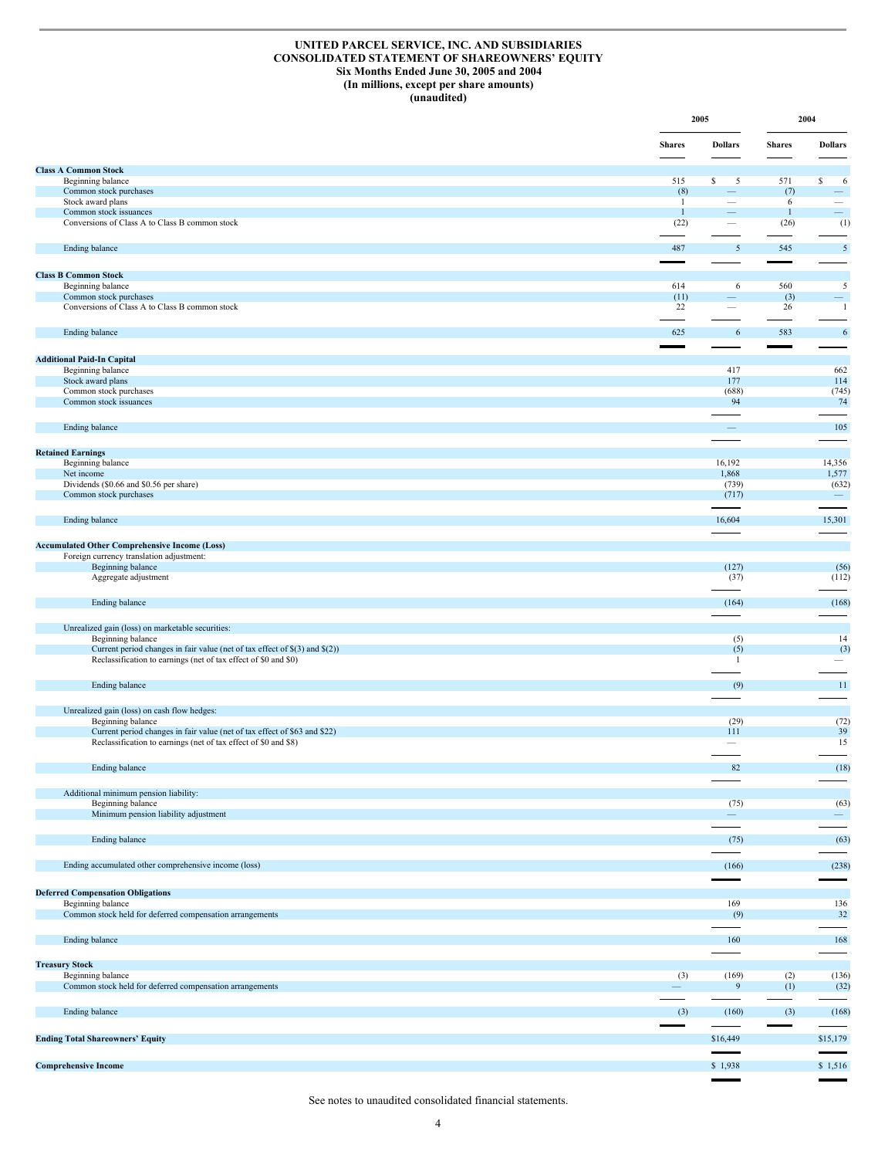# **UNITED PARCEL SERVICE, INC. AND SUBSIDIARIES CONSOLIDATED STATEMENT OF SHAREOWNERS' EQUITY Six Months Ended June 30, 2005 and 2004 (In millions, except per share amounts) (unaudited)**

|                                                                                                                                                |               | 2005                            |               | 2004                                   |  |
|------------------------------------------------------------------------------------------------------------------------------------------------|---------------|---------------------------------|---------------|----------------------------------------|--|
|                                                                                                                                                | <b>Shares</b> | <b>Dollars</b>                  | <b>Shares</b> | <b>Dollars</b>                         |  |
| <b>Class A Common Stock</b>                                                                                                                    |               |                                 |               |                                        |  |
| Beginning balance                                                                                                                              | 515           | S.<br>5                         | 571           | $\frac{1}{2}$ 6                        |  |
| Common stock purchases                                                                                                                         | (8)           |                                 | (7)           | $\hspace{0.1mm}-\hspace{0.1mm}$        |  |
| Stock award plans                                                                                                                              | 1             |                                 | 6             |                                        |  |
| Common stock issuances                                                                                                                         | $\mathbf{1}$  | $\hspace{0.1mm}-\hspace{0.1mm}$ | $\mathbf{1}$  | $\overbrace{\phantom{13333}}$          |  |
| Conversions of Class A to Class B common stock                                                                                                 | (22)          | $\overbrace{\phantom{12332}}$   | (26)          | (1)                                    |  |
| <b>Ending balance</b>                                                                                                                          | 487           | $\overline{5}$                  | 545           | $\overline{5}$                         |  |
| <b>Class B Common Stock</b>                                                                                                                    |               |                                 |               |                                        |  |
| Beginning balance                                                                                                                              | 614           | 6                               | 560           | 5                                      |  |
| Common stock purchases<br>Conversions of Class A to Class B common stock                                                                       | (11)<br>22    |                                 | (3)<br>26     | $\mathbf{1}$                           |  |
| Ending balance                                                                                                                                 | 625           | 6                               | 583           | 6                                      |  |
|                                                                                                                                                |               |                                 |               |                                        |  |
| <b>Additional Paid-In Capital</b>                                                                                                              |               |                                 |               |                                        |  |
| Beginning balance<br>Stock award plans                                                                                                         |               | 417<br>177                      |               | 662<br>114                             |  |
| Common stock purchases                                                                                                                         |               | (688)                           |               | (745)                                  |  |
| Common stock issuances                                                                                                                         |               | 94                              |               | 74                                     |  |
|                                                                                                                                                |               |                                 |               |                                        |  |
| Ending balance                                                                                                                                 |               | $\hspace{0.1mm}-\hspace{0.1mm}$ |               | 105                                    |  |
| <b>Retained Earnings</b>                                                                                                                       |               |                                 |               |                                        |  |
| Beginning balance                                                                                                                              |               | 16,192                          |               | 14,356                                 |  |
| Net income                                                                                                                                     |               | 1,868                           |               | 1,577                                  |  |
| Dividends (\$0.66 and \$0.56 per share)<br>Common stock purchases                                                                              |               | (739)<br>(717)                  |               | (632)<br>$\qquad \qquad -$             |  |
| Ending balance                                                                                                                                 |               | 16,604                          |               | 15,301                                 |  |
|                                                                                                                                                |               |                                 |               |                                        |  |
| <b>Accumulated Other Comprehensive Income (Loss)</b>                                                                                           |               |                                 |               |                                        |  |
| Foreign currency translation adjustment:                                                                                                       |               | (127)                           |               |                                        |  |
| Beginning balance<br>Aggregate adjustment                                                                                                      |               | (37)                            |               | (56)<br>(112)                          |  |
| Ending balance                                                                                                                                 |               | (164)                           |               | (168)                                  |  |
|                                                                                                                                                |               |                                 |               |                                        |  |
| Unrealized gain (loss) on marketable securities:                                                                                               |               |                                 |               |                                        |  |
| Beginning balance                                                                                                                              |               | (5)                             |               | 14                                     |  |
| Current period changes in fair value (net of tax effect of \$(3) and \$(2))<br>Reclassification to earnings (net of tax effect of \$0 and \$0) |               | (5)<br>$\mathbf{1}$             |               | (3)<br>$\hspace{0.1mm}-\hspace{0.1mm}$ |  |
| Ending balance                                                                                                                                 |               | (9)                             |               | 11                                     |  |
|                                                                                                                                                |               |                                 |               |                                        |  |
| Unrealized gain (loss) on cash flow hedges:<br>Beginning balance                                                                               |               | (29)                            |               | (72)                                   |  |
| Current period changes in fair value (net of tax effect of \$63 and \$22)                                                                      |               | 111                             |               | 39                                     |  |
| Reclassification to earnings (net of tax effect of \$0 and \$8)                                                                                |               |                                 |               | 15                                     |  |
| Ending balance                                                                                                                                 |               | 82                              |               | (18)                                   |  |
| Additional minimum pension liability:                                                                                                          |               |                                 |               |                                        |  |
| Beginning balance                                                                                                                              |               | (75)                            |               | (63)                                   |  |
| Minimum pension liability adjustment                                                                                                           |               | $\overline{\phantom{a}}$        |               | $\overline{\phantom{m}}$               |  |
| Ending balance                                                                                                                                 |               | (75)                            |               | (63)                                   |  |
| Ending accumulated other comprehensive income (loss)                                                                                           |               |                                 |               |                                        |  |
|                                                                                                                                                |               | (166)                           |               | (238)                                  |  |
| <b>Deferred Compensation Obligations</b>                                                                                                       |               |                                 |               |                                        |  |
| Beginning balance<br>Common stock held for deferred compensation arrangements                                                                  |               | 169<br>(9)                      |               | 136<br>32                              |  |
| Ending balance                                                                                                                                 |               | 160                             |               | 168                                    |  |
|                                                                                                                                                |               |                                 |               |                                        |  |
| <b>Treasury Stock</b><br>Beginning balance                                                                                                     | (3)           | (169)                           | (2)           | (136)                                  |  |
| Common stock held for deferred compensation arrangements                                                                                       |               | 9                               | (1)           | (32)                                   |  |
| <b>Ending balance</b>                                                                                                                          | (3)           | (160)                           | (3)           | (168)                                  |  |
|                                                                                                                                                |               |                                 |               |                                        |  |
| <b>Ending Total Shareowners' Equity</b>                                                                                                        |               | \$16,449                        |               | \$15,179                               |  |
| <b>Comprehensive Income</b>                                                                                                                    |               | \$1,938                         |               | \$1,516                                |  |

See notes to unaudited consolidated financial statements.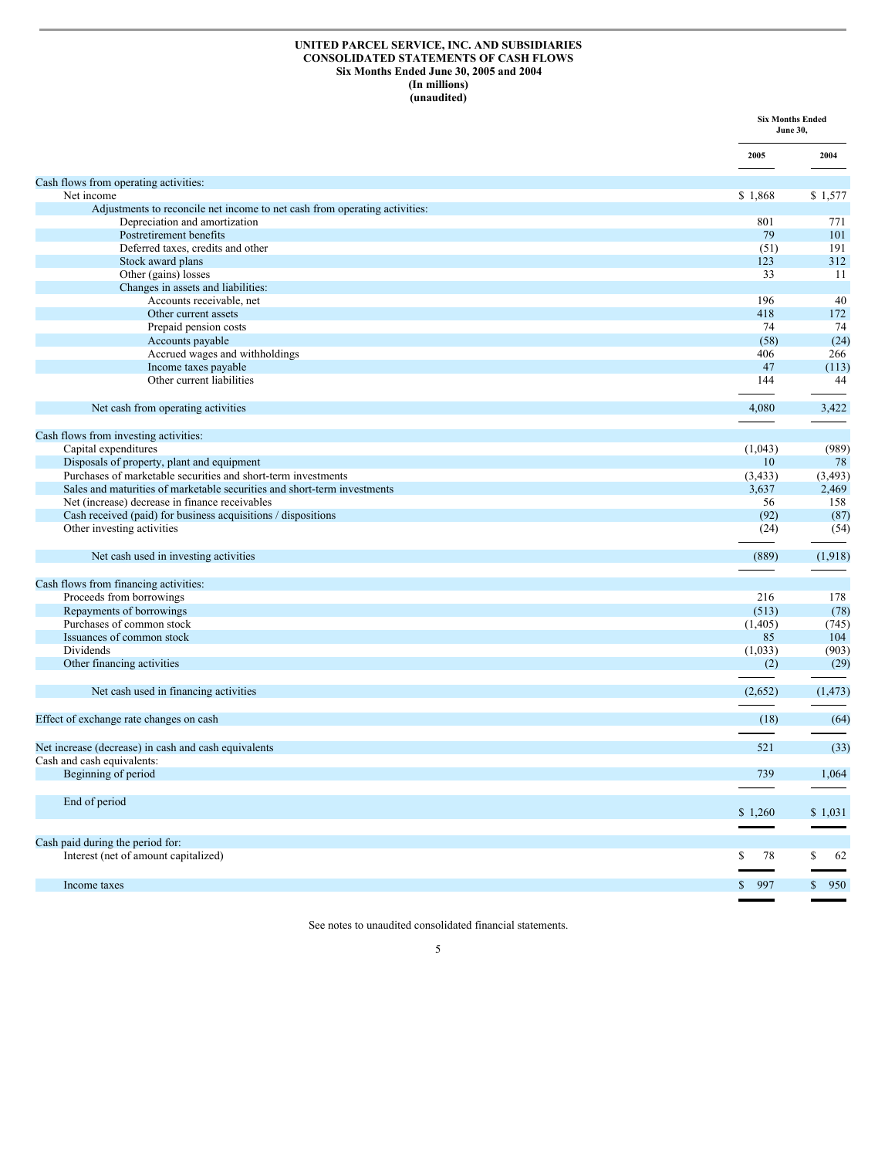# **UNITED PARCEL SERVICE, INC. AND SUBSIDIARIES CONSOLIDATED STATEMENTS OF CASH FLOWS Six Months Ended June 30, 2005 and 2004 (In millions) (unaudited)**

|                                                                            |          | <b>Six Months Ended</b><br><b>June 30,</b> |
|----------------------------------------------------------------------------|----------|--------------------------------------------|
|                                                                            | 2005     | 2004                                       |
| Cash flows from operating activities:                                      |          |                                            |
| Net income                                                                 | \$1,868  | \$1,577                                    |
| Adjustments to reconcile net income to net cash from operating activities: |          |                                            |
| Depreciation and amortization                                              | 801      | 771                                        |
| Postretirement benefits                                                    | 79       | 101                                        |
| Deferred taxes, credits and other                                          | (51)     | 191                                        |
| Stock award plans                                                          | 123      | 312                                        |
| Other (gains) losses                                                       | 33       | 11                                         |
| Changes in assets and liabilities:                                         |          |                                            |
| Accounts receivable, net                                                   | 196      | 40                                         |
| Other current assets                                                       | 418      | 172                                        |
| Prepaid pension costs                                                      | 74       | 74                                         |
| Accounts payable                                                           | (58)     | (24)                                       |
| Accrued wages and withholdings                                             | 406      | 266                                        |
| Income taxes payable                                                       | 47       | (113)                                      |
| Other current liabilities                                                  | 144      | 44                                         |
|                                                                            |          |                                            |
| Net cash from operating activities                                         | 4,080    | 3,422                                      |
|                                                                            |          |                                            |
|                                                                            |          |                                            |
| Cash flows from investing activities:                                      |          |                                            |
| Capital expenditures                                                       | (1,043)  | (989)                                      |
| Disposals of property, plant and equipment                                 | 10       | 78                                         |
| Purchases of marketable securities and short-term investments              | (3, 433) | (3, 493)                                   |
| Sales and maturities of marketable securities and short-term investments   | 3,637    | 2,469                                      |
| Net (increase) decrease in finance receivables                             | 56       | 158                                        |
| Cash received (paid) for business acquisitions / dispositions              | (92)     | (87)                                       |
| Other investing activities                                                 | (24)     | (54)                                       |
| Net cash used in investing activities                                      | (889)    | (1,918)                                    |
| Cash flows from financing activities:                                      |          |                                            |
| Proceeds from borrowings                                                   | 216      | 178                                        |
| Repayments of borrowings                                                   | (513)    | (78)                                       |
| Purchases of common stock                                                  | (1,405)  | (745)                                      |
| Issuances of common stock                                                  | 85       | 104                                        |
| Dividends                                                                  |          |                                            |
|                                                                            | (1,033)  | (903)                                      |
| Other financing activities                                                 | (2)      | (29)                                       |
|                                                                            |          |                                            |
| Net cash used in financing activities                                      | (2,652)  | (1, 473)                                   |
|                                                                            |          |                                            |
| Effect of exchange rate changes on cash                                    | (18)     | (64)                                       |
|                                                                            |          |                                            |
| Net increase (decrease) in cash and cash equivalents                       | 521      | (33)                                       |
| Cash and cash equivalents:                                                 |          |                                            |
| Beginning of period                                                        | 739      | 1,064                                      |
|                                                                            |          |                                            |
| End of period                                                              |          |                                            |
|                                                                            | \$1,260  | \$1,031                                    |
|                                                                            |          |                                            |
| Cash paid during the period for:                                           |          |                                            |
|                                                                            |          |                                            |
| Interest (net of amount capitalized)                                       | \$<br>78 | \$<br>62                                   |
|                                                                            |          |                                            |
| Income taxes                                                               | \$997    | $\mathbb{S}$<br>950                        |
|                                                                            |          |                                            |

See notes to unaudited consolidated financial statements.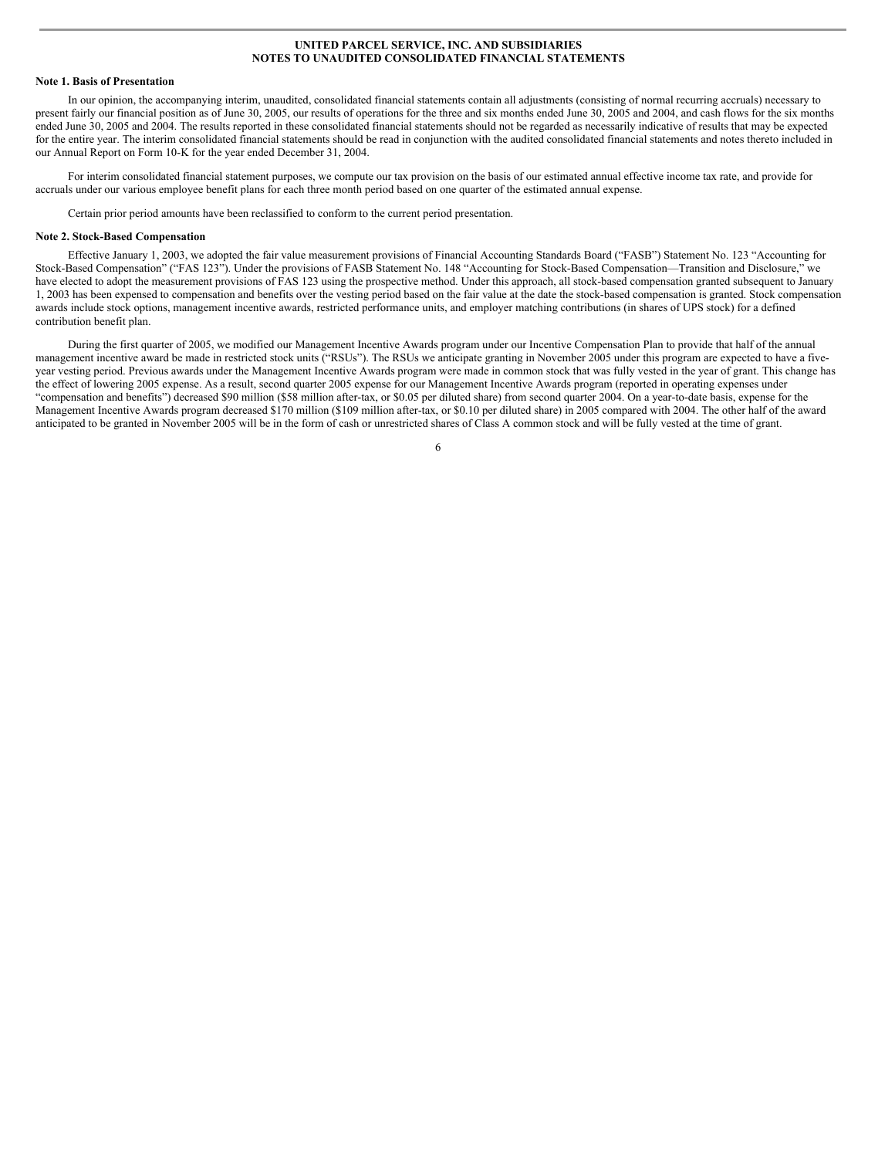#### **Note 1. Basis of Presentation**

In our opinion, the accompanying interim, unaudited, consolidated financial statements contain all adjustments (consisting of normal recurring accruals) necessary to present fairly our financial position as of June 30, 2005, our results of operations for the three and six months ended June 30, 2005 and 2004, and cash flows for the six months ended June 30, 2005 and 2004. The results reported in these consolidated financial statements should not be regarded as necessarily indicative of results that may be expected for the entire year. The interim consolidated financial statements should be read in conjunction with the audited consolidated financial statements and notes thereto included in our Annual Report on Form 10-K for the year ended December 31, 2004.

For interim consolidated financial statement purposes, we compute our tax provision on the basis of our estimated annual effective income tax rate, and provide for accruals under our various employee benefit plans for each three month period based on one quarter of the estimated annual expense.

Certain prior period amounts have been reclassified to conform to the current period presentation.

#### **Note 2. Stock-Based Compensation**

Effective January 1, 2003, we adopted the fair value measurement provisions of Financial Accounting Standards Board ("FASB") Statement No. 123 "Accounting for Stock-Based Compensation" ("FAS 123"). Under the provisions of FASB Statement No. 148 "Accounting for Stock-Based Compensation—Transition and Disclosure," we have elected to adopt the measurement provisions of FAS 123 using the prospective method. Under this approach, all stock-based compensation granted subsequent to January 1, 2003 has been expensed to compensation and benefits over the vesting period based on the fair value at the date the stock-based compensation is granted. Stock compensation awards include stock options, management incentive awards, restricted performance units, and employer matching contributions (in shares of UPS stock) for a defined contribution benefit plan.

During the first quarter of 2005, we modified our Management Incentive Awards program under our Incentive Compensation Plan to provide that half of the annual management incentive award be made in restricted stock units ("RSUs"). The RSUs we anticipate granting in November 2005 under this program are expected to have a fiveyear vesting period. Previous awards under the Management Incentive Awards program were made in common stock that was fully vested in the year of grant. This change has the effect of lowering 2005 expense. As a result, second quarter 2005 expense for our Management Incentive Awards program (reported in operating expenses under "compensation and benefits") decreased \$90 million (\$58 million after-tax, or \$0.05 per diluted share) from second quarter 2004. On a year-to-date basis, expense for the Management Incentive Awards program decreased \$170 million (\$109 million after-tax, or \$0.10 per diluted share) in 2005 compared with 2004. The other half of the award anticipated to be granted in November 2005 will be in the form of cash or unrestricted shares of Class A common stock and will be fully vested at the time of grant.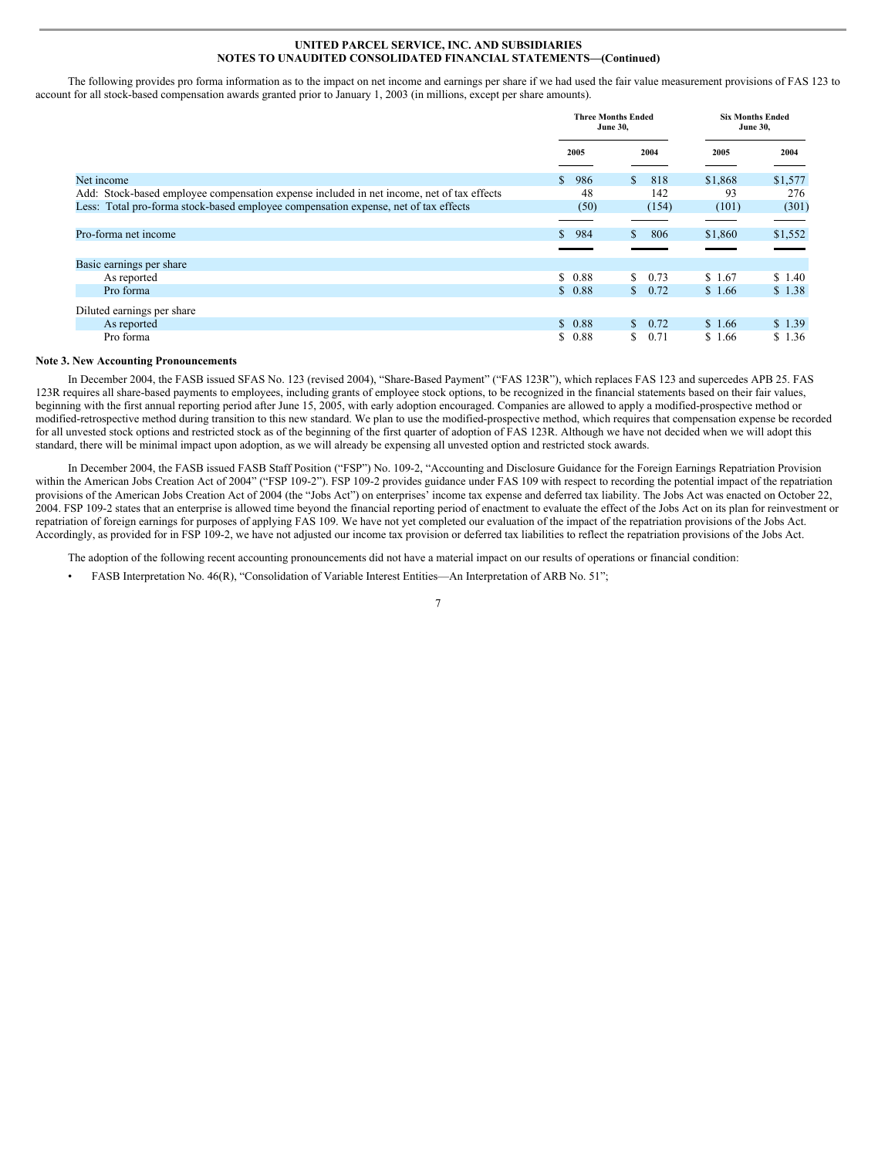The following provides pro forma information as to the impact on net income and earnings per share if we had used the fair value measurement provisions of FAS 123 to account for all stock-based compensation awards granted prior to January 1, 2003 (in millions, except per share amounts).

|                                                                                           | <b>Three Months Ended</b><br><b>June 30,</b> |                    | <b>Six Months Ended</b><br><b>June 30,</b> |         |
|-------------------------------------------------------------------------------------------|----------------------------------------------|--------------------|--------------------------------------------|---------|
|                                                                                           | 2005                                         | 2004               | 2005                                       | 2004    |
| Net income                                                                                | \$<br>986                                    | S.<br>818          | \$1,868                                    | \$1,577 |
| Add: Stock-based employee compensation expense included in net income, net of tax effects | 48                                           | 142                | 93                                         | 276     |
| Less: Total pro-forma stock-based employee compensation expense, net of tax effects       | (50)                                         | (154)              | (101)                                      | (301)   |
|                                                                                           |                                              |                    |                                            |         |
| Pro-forma net income                                                                      | 984<br>S.                                    | 806<br>S.          | \$1,860                                    | \$1,552 |
|                                                                                           |                                              |                    |                                            |         |
| Basic earnings per share                                                                  |                                              |                    |                                            |         |
| As reported                                                                               | \$0.88                                       | 0.73<br>S.         | \$1.67                                     | \$1.40  |
| Pro forma                                                                                 | \$0.88                                       | \$0.72             | \$1.66                                     | \$1.38  |
| Diluted earnings per share                                                                |                                              |                    |                                            |         |
| As reported                                                                               | \$0.88                                       | $\frac{1}{2}$ 0.72 | \$1.66                                     | \$1.39  |
| Pro forma                                                                                 | 0.88<br>\$                                   | 0.71<br>S.         | \$1.66                                     | \$1.36  |

### **Note 3. New Accounting Pronouncements**

In December 2004, the FASB issued SFAS No. 123 (revised 2004), "Share-Based Payment" ("FAS 123R"), which replaces FAS 123 and supercedes APB 25. FAS 123R requires all share-based payments to employees, including grants of employee stock options, to be recognized in the financial statements based on their fair values, beginning with the first annual reporting period after June 15, 2005, with early adoption encouraged. Companies are allowed to apply a modified-prospective method or modified-retrospective method during transition to this new standard. We plan to use the modified-prospective method, which requires that compensation expense be recorded for all unvested stock options and restricted stock as of the beginning of the first quarter of adoption of FAS 123R. Although we have not decided when we will adopt this standard, there will be minimal impact upon adoption, as we will already be expensing all unvested option and restricted stock awards.

In December 2004, the FASB issued FASB Staff Position ("FSP") No. 109-2, "Accounting and Disclosure Guidance for the Foreign Earnings Repatriation Provision within the American Jobs Creation Act of 2004" ("FSP 109-2"). FSP 109-2 provides guidance under FAS 109 with respect to recording the potential impact of the repatriation provisions of the American Jobs Creation Act of 2004 (the "Jobs Act") on enterprises' income tax expense and deferred tax liability. The Jobs Act was enacted on October 22, 2004. FSP 109-2 states that an enterprise is allowed time beyond the financial reporting period of enactment to evaluate the effect of the Jobs Act on its plan for reinvestment or repatriation of foreign earnings for purposes of applying FAS 109. We have not yet completed our evaluation of the impact of the repatriation provisions of the Jobs Act. Accordingly, as provided for in FSP 109-2, we have not adjusted our income tax provision or deferred tax liabilities to reflect the repatriation provisions of the Jobs Act.

The adoption of the following recent accounting pronouncements did not have a material impact on our results of operations or financial condition:

• FASB Interpretation No. 46(R), "Consolidation of Variable Interest Entities—An Interpretation of ARB No. 51";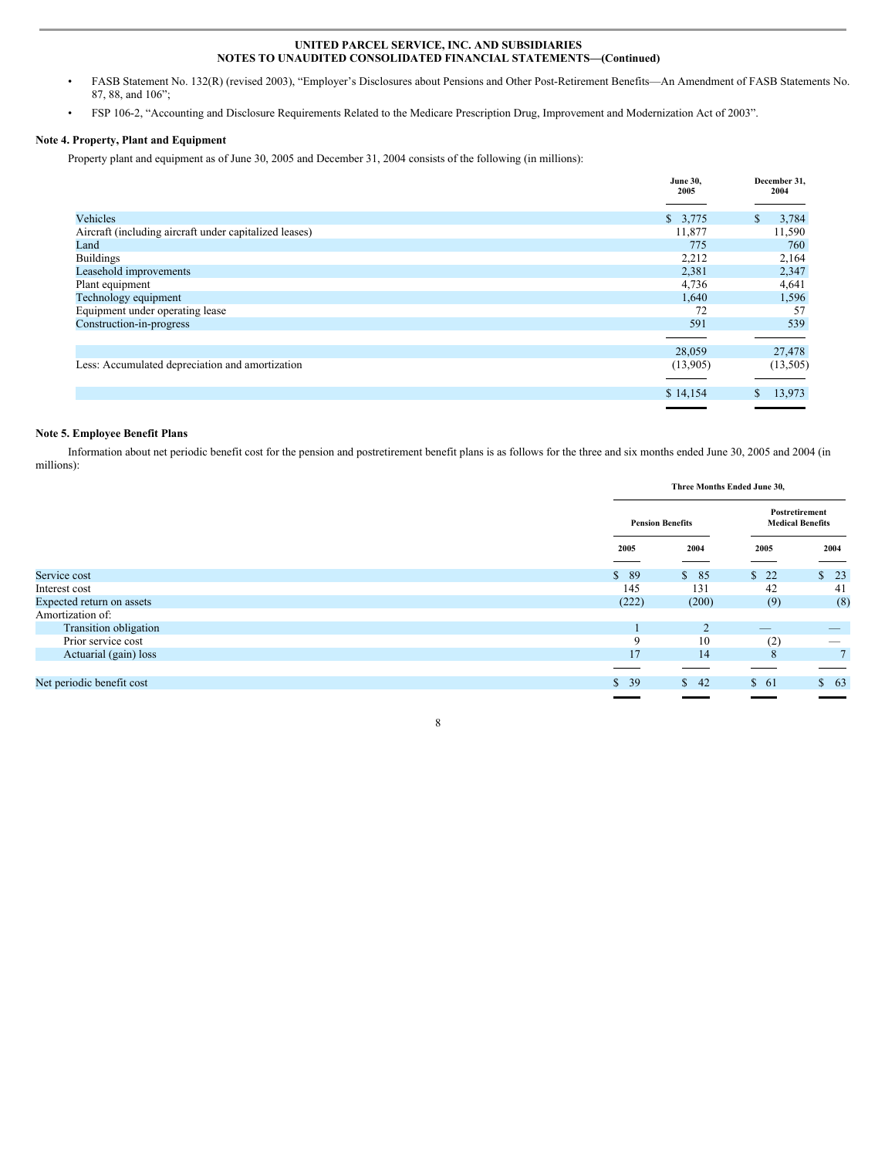- FASB Statement No. 132(R) (revised 2003), "Employer's Disclosures about Pensions and Other Post-Retirement Benefits—An Amendment of FASB Statements No. 87, 88, and 106";
- FSP 106-2, "Accounting and Disclosure Requirements Related to the Medicare Prescription Drug, Improvement and Modernization Act of 2003".

# **Note 4. Property, Plant and Equipment**

Property plant and equipment as of June 30, 2005 and December 31, 2004 consists of the following (in millions):

|                                                        | <b>June 30,</b><br>2005 | December 31,<br>2004 |
|--------------------------------------------------------|-------------------------|----------------------|
| Vehicles                                               | \$3,775                 | 3,784<br>\$          |
| Aircraft (including aircraft under capitalized leases) | 11,877                  | 11,590               |
| Land                                                   | 775                     | 760                  |
| <b>Buildings</b>                                       | 2,212                   | 2,164                |
| Leasehold improvements                                 | 2,381                   | 2,347                |
| Plant equipment                                        | 4,736                   | 4,641                |
| Technology equipment                                   | 1,640                   | 1,596                |
| Equipment under operating lease                        | 72                      | 57                   |
| Construction-in-progress                               | 591                     | 539                  |
|                                                        |                         |                      |
|                                                        | 28,059                  | 27,478               |
| Less: Accumulated depreciation and amortization        | (13,905)                | (13,505)             |
|                                                        |                         |                      |
|                                                        | \$14,154                | 13,973<br>S.         |
|                                                        |                         |                      |

# **Note 5. Employee Benefit Plans**

Information about net periodic benefit cost for the pension and postretirement benefit plans is as follows for the three and six months ended June 30, 2005 and 2004 (in millions):

|                           |                    | Three Months Ended June 30, |      |                                           |  |
|---------------------------|--------------------|-----------------------------|------|-------------------------------------------|--|
|                           |                    | <b>Pension Benefits</b>     |      | Postretirement<br><b>Medical Benefits</b> |  |
|                           | 2005               | 2004                        | 2005 | 2004                                      |  |
| Service cost              | \$89               | $\mathbb{S}$<br>85          | \$22 | \$ 23                                     |  |
| Interest cost             | 145                | 131                         | 42   | 41                                        |  |
| Expected return on assets | (222)              | (200)                       | (9)  | (8)                                       |  |
| Amortization of:          |                    |                             |      |                                           |  |
| Transition obligation     |                    | $\overline{2}$              | _    | _                                         |  |
| Prior service cost        | 9                  | 10                          | (2)  |                                           |  |
| Actuarial (gain) loss     | 17                 | 14                          | 8    | 7 <sup>1</sup>                            |  |
|                           |                    |                             |      |                                           |  |
| Net periodic benefit cost | $\mathbb{S}$<br>39 | \$42                        | \$61 | \$63                                      |  |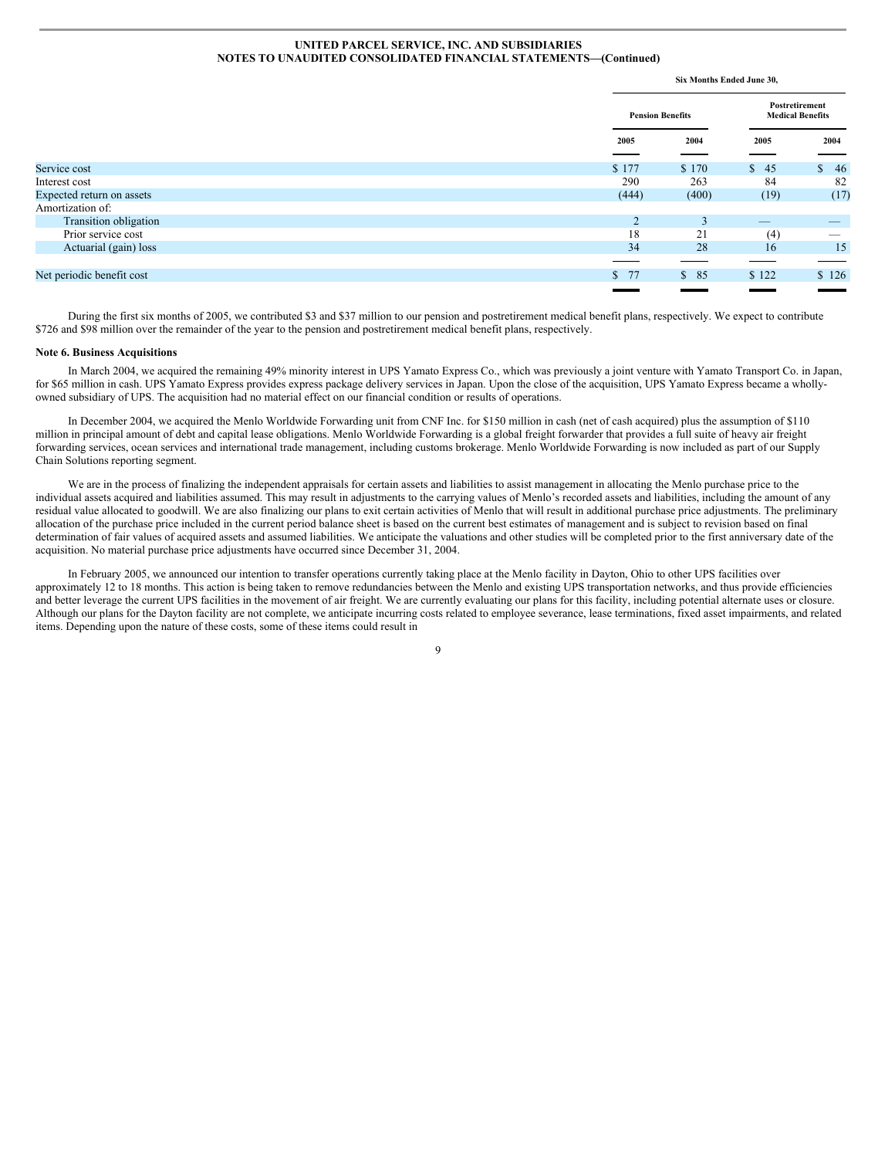**Six Months Ended June 30,**

|                           |                | <b>DIA MORGIO ENGLU GUNC 50,</b> |                     |                                           |  |
|---------------------------|----------------|----------------------------------|---------------------|-------------------------------------------|--|
|                           |                | <b>Pension Benefits</b>          |                     | Postretirement<br><b>Medical Benefits</b> |  |
|                           | 2005           | 2004                             | 2005                | 2004                                      |  |
| Service cost              | \$177          | \$170                            | $\mathbb{S}$<br>-45 | $\mathbb{S}^-$<br>- 46                    |  |
| Interest cost             | 290            | 263                              | 84                  | 82                                        |  |
| Expected return on assets | (444)          | (400)                            | (19)                | (17)                                      |  |
| Amortization of:          |                |                                  |                     |                                           |  |
| Transition obligation     | $\mathfrak{D}$ | 3                                | _                   | _                                         |  |
| Prior service cost        | 18             | 21                               | (4)                 | --                                        |  |
| Actuarial (gain) loss     | 34             | 28                               | 16                  | 15                                        |  |
|                           |                |                                  |                     |                                           |  |
| Net periodic benefit cost | \$77           | \$85                             | \$122               | \$126                                     |  |
|                           |                |                                  |                     |                                           |  |

During the first six months of 2005, we contributed \$3 and \$37 million to our pension and postretirement medical benefit plans, respectively. We expect to contribute \$726 and \$98 million over the remainder of the year to the pension and postretirement medical benefit plans, respectively.

# **Note 6. Business Acquisitions**

In March 2004, we acquired the remaining 49% minority interest in UPS Yamato Express Co., which was previously a joint venture with Yamato Transport Co. in Japan, for \$65 million in cash. UPS Yamato Express provides express package delivery services in Japan. Upon the close of the acquisition, UPS Yamato Express became a whollyowned subsidiary of UPS. The acquisition had no material effect on our financial condition or results of operations.

In December 2004, we acquired the Menlo Worldwide Forwarding unit from CNF Inc. for \$150 million in cash (net of cash acquired) plus the assumption of \$110 million in principal amount of debt and capital lease obligations. Menlo Worldwide Forwarding is a global freight forwarder that provides a full suite of heavy air freight forwarding services, ocean services and international trade management, including customs brokerage. Menlo Worldwide Forwarding is now included as part of our Supply Chain Solutions reporting segment.

We are in the process of finalizing the independent appraisals for certain assets and liabilities to assist management in allocating the Menlo purchase price to the individual assets acquired and liabilities assumed. This may result in adjustments to the carrying values of Menlo's recorded assets and liabilities, including the amount of any residual value allocated to goodwill. We are also finalizing our plans to exit certain activities of Menlo that will result in additional purchase price adjustments. The preliminary allocation of the purchase price included in the current period balance sheet is based on the current best estimates of management and is subject to revision based on final determination of fair values of acquired assets and assumed liabilities. We anticipate the valuations and other studies will be completed prior to the first anniversary date of the acquisition. No material purchase price adjustments have occurred since December 31, 2004.

In February 2005, we announced our intention to transfer operations currently taking place at the Menlo facility in Dayton, Ohio to other UPS facilities over approximately 12 to 18 months. This action is being taken to remove redundancies between the Menlo and existing UPS transportation networks, and thus provide efficiencies and better leverage the current UPS facilities in the movement of air freight. We are currently evaluating our plans for this facility, including potential alternate uses or closure. Although our plans for the Dayton facility are not complete, we anticipate incurring costs related to employee severance, lease terminations, fixed asset impairments, and related items. Depending upon the nature of these costs, some of these items could result in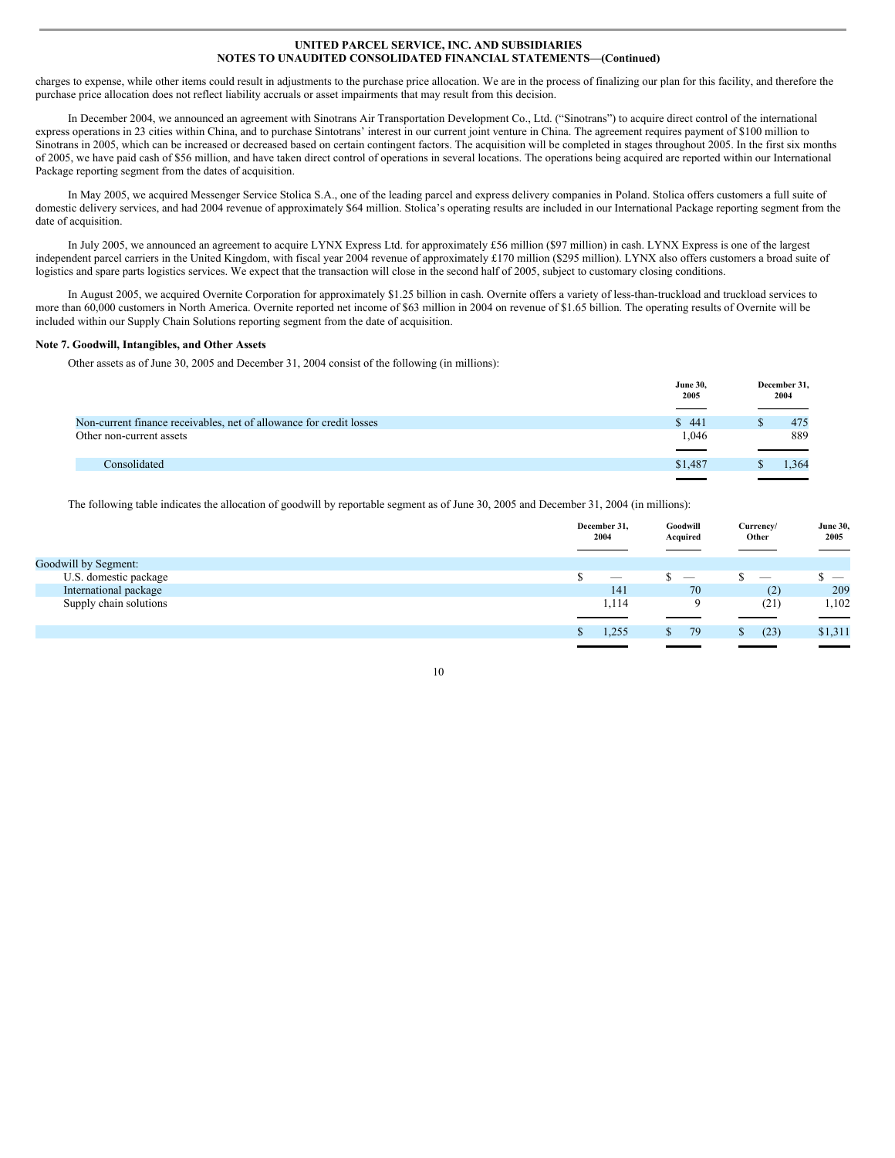charges to expense, while other items could result in adjustments to the purchase price allocation. We are in the process of finalizing our plan for this facility, and therefore the purchase price allocation does not reflect liability accruals or asset impairments that may result from this decision.

In December 2004, we announced an agreement with Sinotrans Air Transportation Development Co., Ltd. ("Sinotrans") to acquire direct control of the international express operations in 23 cities within China, and to purchase Sintotrans' interest in our current joint venture in China. The agreement requires payment of \$100 million to Sinotrans in 2005, which can be increased or decreased based on certain contingent factors. The acquisition will be completed in stages throughout 2005. In the first six months of 2005, we have paid cash of \$56 million, and have taken direct control of operations in several locations. The operations being acquired are reported within our International Package reporting segment from the dates of acquisition.

In May 2005, we acquired Messenger Service Stolica S.A., one of the leading parcel and express delivery companies in Poland. Stolica offers customers a full suite of domestic delivery services, and had 2004 revenue of approximately \$64 million. Stolica's operating results are included in our International Package reporting segment from the date of acquisition.

In July 2005, we announced an agreement to acquire LYNX Express Ltd. for approximately £56 million (\$97 million) in cash. LYNX Express is one of the largest independent parcel carriers in the United Kingdom, with fiscal year 2004 revenue of approximately £170 million (\$295 million). LYNX also offers customers a broad suite of logistics and spare parts logistics services. We expect that the transaction will close in the second half of 2005, subject to customary closing conditions.

In August 2005, we acquired Overnite Corporation for approximately \$1.25 billion in cash. Overnite offers a variety of less-than-truckload and truckload services to more than 60,000 customers in North America. Overnite reported net income of \$63 million in 2004 on revenue of \$1.65 billion. The operating results of Overnite will be included within our Supply Chain Solutions reporting segment from the date of acquisition.

# **Note 7. Goodwill, Intangibles, and Other Assets**

Other assets as of June 30, 2005 and December 31, 2004 consist of the following (in millions):

|                                                                     | June 30.<br>2005                   | December 31,<br>2004 |       |
|---------------------------------------------------------------------|------------------------------------|----------------------|-------|
|                                                                     |                                    |                      |       |
| Non-current finance receivables, net of allowance for credit losses | \$441                              |                      | 475   |
| Other non-current assets                                            | 1,046                              |                      | 889   |
|                                                                     | $\sim$ $\sim$ $\sim$ $\sim$ $\sim$ |                      |       |
| Consolidated                                                        | \$1,487                            |                      | 1,364 |
|                                                                     |                                    |                      |       |

The following table indicates the allocation of goodwill by reportable segment as of June 30, 2005 and December 31, 2004 (in millions):

|                        | December 31,<br>2004 | Goodwill<br>Acquired                                 | Currency/<br>Other       | June 30,<br>2005 |
|------------------------|----------------------|------------------------------------------------------|--------------------------|------------------|
| Goodwill by Segment:   |                      |                                                      |                          |                  |
| U.S. domestic package  |                      | $\overline{\phantom{a}}$<br>$\overline{\phantom{a}}$ | $\overline{\phantom{a}}$ |                  |
| International package  |                      | 70<br>141                                            | (2)                      | 209              |
| Supply chain solutions |                      | 1,114<br>Q                                           | (21)                     | 1,102            |
|                        |                      |                                                      |                          |                  |
|                        |                      | 79<br>.255<br>$\mathbf{s}$                           | (23)                     | \$1,311          |
|                        |                      |                                                      |                          |                  |

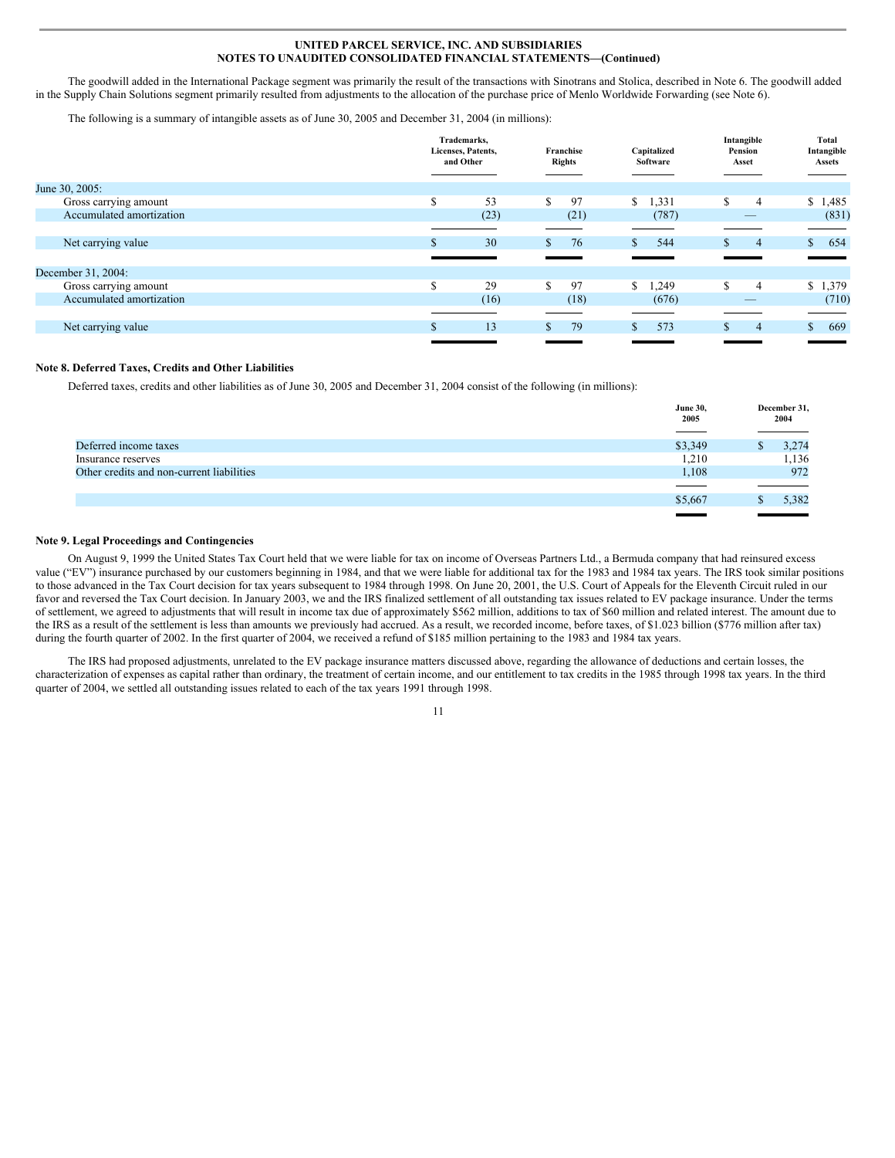The goodwill added in the International Package segment was primarily the result of the transactions with Sinotrans and Stolica, described in Note 6. The goodwill added in the Supply Chain Solutions segment primarily resulted from adjustments to the allocation of the purchase price of Menlo Worldwide Forwarding (see Note 6).

The following is a summary of intangible assets as of June 30, 2005 and December 31, 2004 (in millions):

|                          | Trademarks,<br>Licenses, Patents,<br>and Other | Franchise<br><b>Rights</b> | Capitalized<br>Software | Intangible<br>Pension<br>Asset | Total<br>Intangible<br><b>Assets</b> |
|--------------------------|------------------------------------------------|----------------------------|-------------------------|--------------------------------|--------------------------------------|
|                          |                                                |                            |                         |                                |                                      |
| June 30, 2005:           |                                                |                            |                         |                                |                                      |
| Gross carrying amount    | S<br>53                                        | 97<br>S                    | $\mathbb{S}$<br>1,331   | S.<br>4                        | \$1,485                              |
| Accumulated amortization | (23)                                           | (21)                       | (787)                   | _                              | (831)                                |
|                          |                                                |                            |                         |                                |                                      |
| Net carrying value       | 30<br>$\mathcal{S}$                            | 76<br>S.                   | 544<br>S.               | \$.<br>$\overline{4}$          | $\mathbb{S}$<br>654                  |
|                          |                                                |                            |                         |                                |                                      |
| December 31, 2004:       |                                                |                            |                         |                                |                                      |
| Gross carrying amount    | ¢<br>29<br>J.                                  | S<br>97                    | \$<br>.249              | S.<br>$\overline{4}$           | \$1,379                              |
| Accumulated amortization | (16)                                           | (18)                       | (676)                   | __                             | (710)                                |
|                          |                                                |                            |                         |                                |                                      |
| Net carrying value       | $\mathbf{\hat{S}}$<br>13                       | 79<br>S.                   | 573<br>\$               | 4                              | \$<br>669                            |
|                          |                                                |                            |                         |                                |                                      |

# **Note 8. Deferred Taxes, Credits and Other Liabilities**

Deferred taxes, credits and other liabilities as of June 30, 2005 and December 31, 2004 consist of the following (in millions):

|                                           |         | December 31,<br>2004 |       |
|-------------------------------------------|---------|----------------------|-------|
| Deferred income taxes                     | \$3,349 |                      | 3.274 |
| Insurance reserves                        | 1,210   |                      | 1,136 |
| Other credits and non-current liabilities | 1,108   |                      | 972   |
|                                           | $\sim$  |                      |       |
|                                           | \$5,667 |                      | 5,382 |
|                                           |         |                      |       |

# **Note 9. Legal Proceedings and Contingencies**

On August 9, 1999 the United States Tax Court held that we were liable for tax on income of Overseas Partners Ltd., a Bermuda company that had reinsured excess value ("EV") insurance purchased by our customers beginning in 1984, and that we were liable for additional tax for the 1983 and 1984 tax years. The IRS took similar positions to those advanced in the Tax Court decision for tax years subsequent to 1984 through 1998. On June 20, 2001, the U.S. Court of Appeals for the Eleventh Circuit ruled in our favor and reversed the Tax Court decision. In January 2003, we and the IRS finalized settlement of all outstanding tax issues related to EV package insurance. Under the terms of settlement, we agreed to adjustments that will result in income tax due of approximately \$562 million, additions to tax of \$60 million and related interest. The amount due to the IRS as a result of the settlement is less than amounts we previously had accrued. As a result, we recorded income, before taxes, of \$1.023 billion (\$776 million after tax) during the fourth quarter of 2002. In the first quarter of 2004, we received a refund of \$185 million pertaining to the 1983 and 1984 tax years.

The IRS had proposed adjustments, unrelated to the EV package insurance matters discussed above, regarding the allowance of deductions and certain losses, the characterization of expenses as capital rather than ordinary, the treatment of certain income, and our entitlement to tax credits in the 1985 through 1998 tax years. In the third quarter of 2004, we settled all outstanding issues related to each of the tax years 1991 through 1998.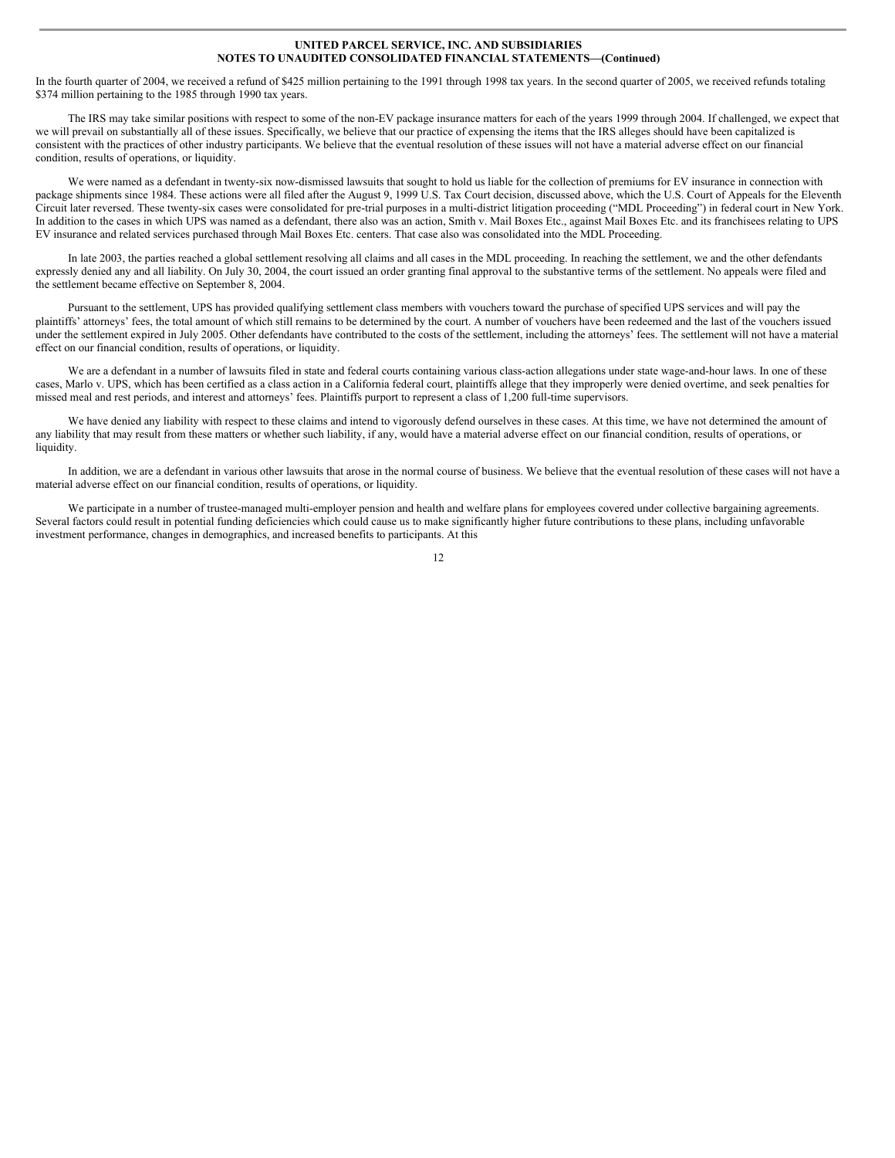In the fourth quarter of 2004, we received a refund of \$425 million pertaining to the 1991 through 1998 tax years. In the second quarter of 2005, we received refunds totaling \$374 million pertaining to the 1985 through 1990 tax years.

The IRS may take similar positions with respect to some of the non-EV package insurance matters for each of the years 1999 through 2004. If challenged, we expect that we will prevail on substantially all of these issues. Specifically, we believe that our practice of expensing the items that the IRS alleges should have been capitalized is consistent with the practices of other industry participants. We believe that the eventual resolution of these issues will not have a material adverse effect on our financial condition, results of operations, or liquidity.

We were named as a defendant in twenty-six now-dismissed lawsuits that sought to hold us liable for the collection of premiums for EV insurance in connection with package shipments since 1984. These actions were all filed after the August 9, 1999 U.S. Tax Court decision, discussed above, which the U.S. Court of Appeals for the Eleventh Circuit later reversed. These twenty-six cases were consolidated for pre-trial purposes in a multi-district litigation proceeding ("MDL Proceeding") in federal court in New York. In addition to the cases in which UPS was named as a defendant, there also was an action, Smith v. Mail Boxes Etc., against Mail Boxes Etc. and its franchisees relating to UPS EV insurance and related services purchased through Mail Boxes Etc. centers. That case also was consolidated into the MDL Proceeding.

In late 2003, the parties reached a global settlement resolving all claims and all cases in the MDL proceeding. In reaching the settlement, we and the other defendants expressly denied any and all liability. On July 30, 2004, the court issued an order granting final approval to the substantive terms of the settlement. No appeals were filed and the settlement became effective on September 8, 2004.

Pursuant to the settlement, UPS has provided qualifying settlement class members with vouchers toward the purchase of specified UPS services and will pay the plaintiffs' attorneys' fees, the total amount of which still remains to be determined by the court. A number of vouchers have been redeemed and the last of the vouchers issued under the settlement expired in July 2005. Other defendants have contributed to the costs of the settlement, including the attorneys' fees. The settlement will not have a material effect on our financial condition, results of operations, or liquidity.

We are a defendant in a number of lawsuits filed in state and federal courts containing various class-action allegations under state wage-and-hour laws. In one of these cases, Marlo v. UPS, which has been certified as a class action in a California federal court, plaintiffs allege that they improperly were denied overtime, and seek penalties for missed meal and rest periods, and interest and attorneys' fees. Plaintiffs purport to represent a class of 1,200 full-time supervisors.

We have denied any liability with respect to these claims and intend to vigorously defend ourselves in these cases. At this time, we have not determined the amount of any liability that may result from these matters or whether such liability, if any, would have a material adverse effect on our financial condition, results of operations, or liquidity.

In addition, we are a defendant in various other lawsuits that arose in the normal course of business. We believe that the eventual resolution of these cases will not have a material adverse effect on our financial condition, results of operations, or liquidity.

We participate in a number of trustee-managed multi-employer pension and health and welfare plans for employees covered under collective bargaining agreements. Several factors could result in potential funding deficiencies which could cause us to make significantly higher future contributions to these plans, including unfavorable investment performance, changes in demographics, and increased benefits to participants. At this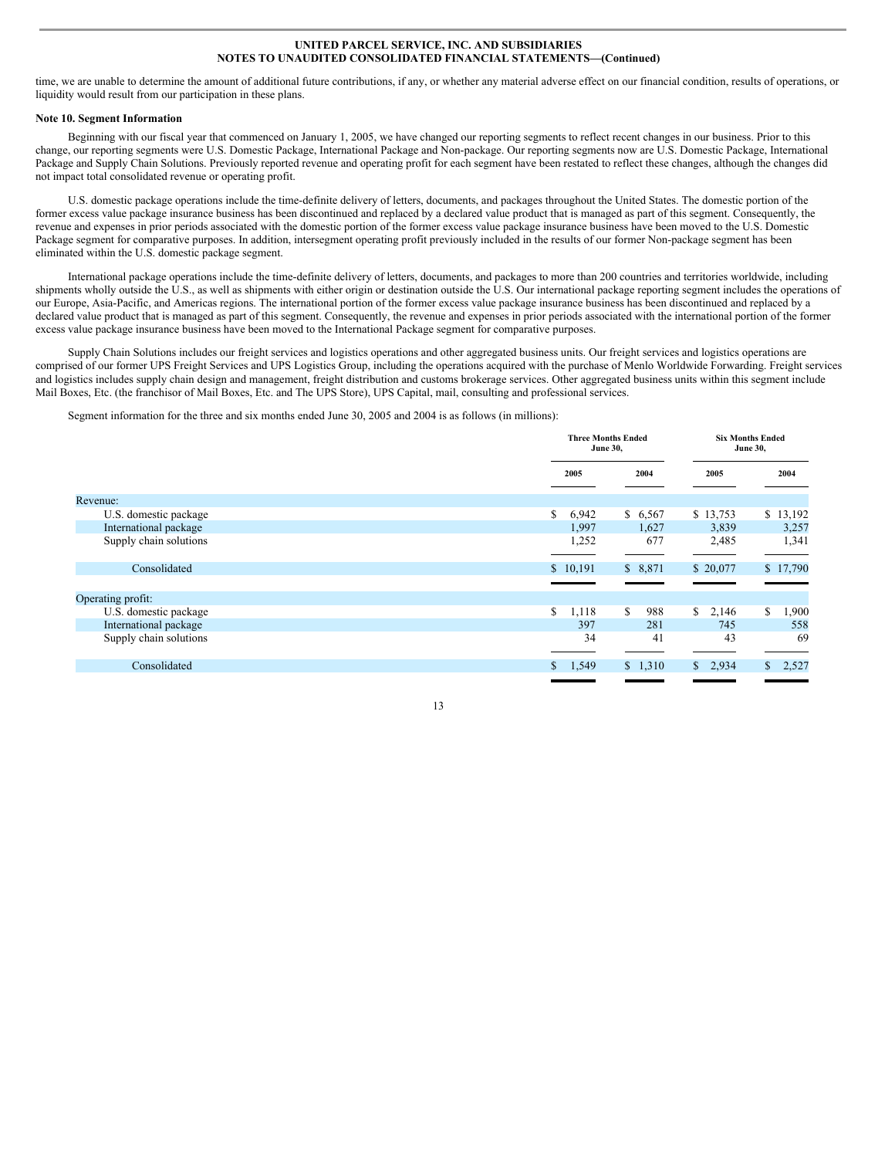time, we are unable to determine the amount of additional future contributions, if any, or whether any material adverse effect on our financial condition, results of operations, or liquidity would result from our participation in these plans.

# **Note 10. Segment Information**

Beginning with our fiscal year that commenced on January 1, 2005, we have changed our reporting segments to reflect recent changes in our business. Prior to this change, our reporting segments were U.S. Domestic Package, International Package and Non-package. Our reporting segments now are U.S. Domestic Package, International Package and Supply Chain Solutions. Previously reported revenue and operating profit for each segment have been restated to reflect these changes, although the changes did not impact total consolidated revenue or operating profit.

U.S. domestic package operations include the time-definite delivery of letters, documents, and packages throughout the United States. The domestic portion of the former excess value package insurance business has been discontinued and replaced by a declared value product that is managed as part of this segment. Consequently, the revenue and expenses in prior periods associated with the domestic portion of the former excess value package insurance business have been moved to the U.S. Domestic Package segment for comparative purposes. In addition, intersegment operating profit previously included in the results of our former Non-package segment has been eliminated within the U.S. domestic package segment.

International package operations include the time-definite delivery of letters, documents, and packages to more than 200 countries and territories worldwide, including shipments wholly outside the U.S., as well as shipments with either origin or destination outside the U.S. Our international package reporting segment includes the operations of our Europe, Asia-Pacific, and Americas regions. The international portion of the former excess value package insurance business has been discontinued and replaced by a declared value product that is managed as part of this segment. Consequently, the revenue and expenses in prior periods associated with the international portion of the former excess value package insurance business have been moved to the International Package segment for comparative purposes.

Supply Chain Solutions includes our freight services and logistics operations and other aggregated business units. Our freight services and logistics operations are comprised of our former UPS Freight Services and UPS Logistics Group, including the operations acquired with the purchase of Menlo Worldwide Forwarding. Freight services and logistics includes supply chain design and management, freight distribution and customs brokerage services. Other aggregated business units within this segment include Mail Boxes, Etc. (the franchisor of Mail Boxes, Etc. and The UPS Store), UPS Capital, mail, consulting and professional services.

Segment information for the three and six months ended June 30, 2005 and 2004 is as follows (in millions):

|                        |             | <b>Three Months Ended</b><br><b>June 30,</b> |                       | <b>Six Months Ended</b><br><b>June 30,</b> |
|------------------------|-------------|----------------------------------------------|-----------------------|--------------------------------------------|
|                        | 2005        | 2004                                         | 2005                  | 2004                                       |
| Revenue:               |             |                                              |                       |                                            |
| U.S. domestic package  | \$<br>6,942 | \$6,567                                      | \$13,753              | \$13,192                                   |
| International package  | 1,997       | 1,627                                        | 3,839                 | 3,257                                      |
| Supply chain solutions | 1,252       | 677                                          | 2,485                 | 1,341                                      |
| Consolidated           | \$10,191    | \$8,871                                      | \$20,077              | \$17,790                                   |
| Operating profit:      |             |                                              |                       |                                            |
| U.S. domestic package  | \$<br>1,118 | S<br>988                                     | \$<br>2,146           | 1,900<br>\$                                |
| International package  | 397         | 281                                          | 745                   | 558                                        |
| Supply chain solutions | 34          | 41                                           | 43                    | 69                                         |
| Consolidated           | 1,549<br>\$ | \$1,310                                      | $\mathbb{S}$<br>2,934 | 2,527<br>$\mathbb{S}^-$                    |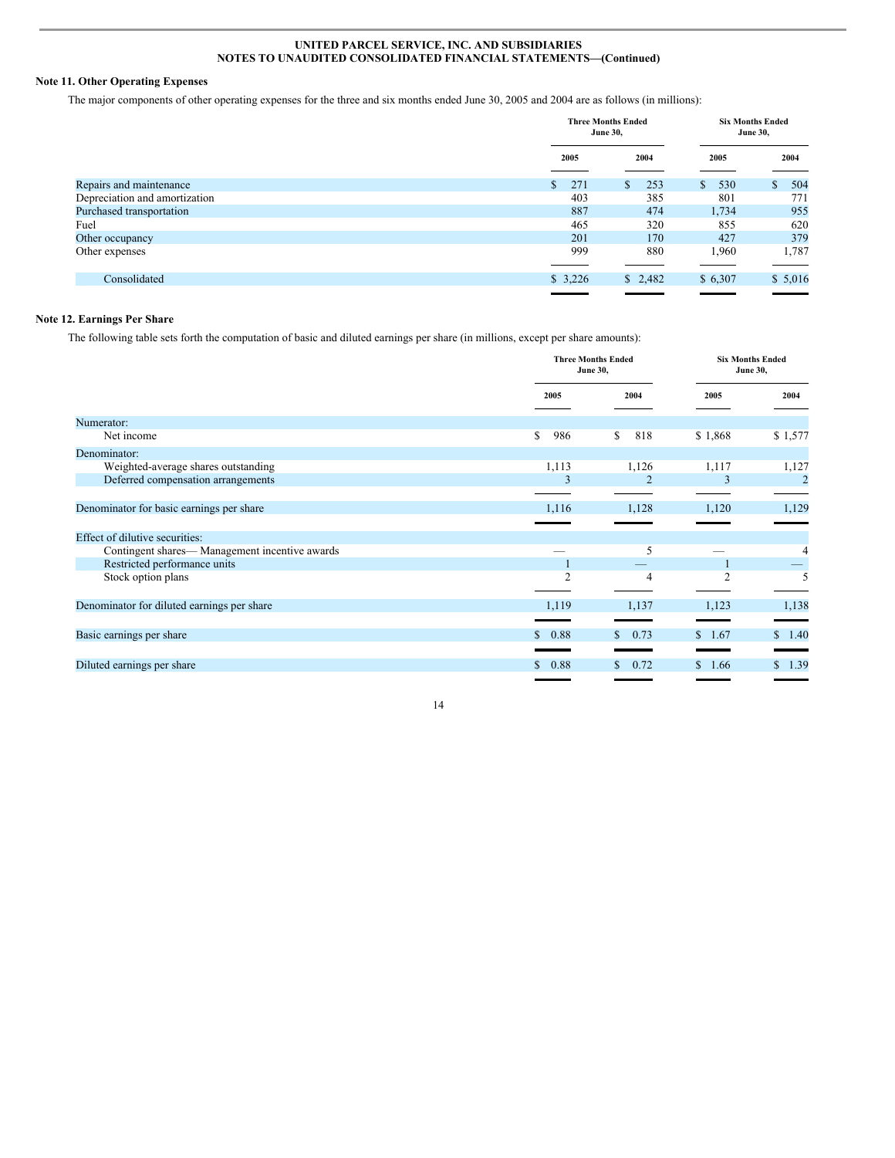# **Note 11. Other Operating Expenses**

The major components of other operating expenses for the three and six months ended June 30, 2005 and 2004 are as follows (in millions):

|                               |           | <b>Three Months Ended</b><br><b>June 30,</b> |           | <b>Six Months Ended</b><br><b>June 30,</b> |
|-------------------------------|-----------|----------------------------------------------|-----------|--------------------------------------------|
|                               | 2005      | 2004                                         | 2005      | 2004                                       |
| Repairs and maintenance       | 271<br>\$ | 253<br>S.                                    | \$<br>530 | 504<br>\$                                  |
| Depreciation and amortization | 403       | 385                                          | 801       | 771                                        |
| Purchased transportation      | 887       | 474                                          | 1,734     | 955                                        |
| Fuel                          | 465       | 320                                          | 855       | 620                                        |
| Other occupancy               | 201       | 170                                          | 427       | 379                                        |
| Other expenses                | 999       | 880                                          | 1,960     | 1,787                                      |
| Consolidated                  | \$3,226   | \$2,482                                      | \$6,307   | \$5,016                                    |

# **Note 12. Earnings Per Share**

The following table sets forth the computation of basic and diluted earnings per share (in millions, except per share amounts):

|                                               |                      | <b>Three Months Ended</b><br><b>June 30,</b> |            | <b>Six Months Ended</b><br><b>June 30,</b> |
|-----------------------------------------------|----------------------|----------------------------------------------|------------|--------------------------------------------|
|                                               | 2005                 | 2004                                         | 2005       | 2004                                       |
| Numerator:                                    |                      |                                              |            |                                            |
| Net income                                    | \$<br>986            | \$<br>818                                    | \$1,868    | \$1,577                                    |
| Denominator:                                  |                      |                                              |            |                                            |
| Weighted-average shares outstanding           | 1,113                | 1,126                                        | 1,117      | 1,127                                      |
| Deferred compensation arrangements            | 3                    |                                              | 3          | 2                                          |
|                                               |                      |                                              |            |                                            |
| Denominator for basic earnings per share      | 1,116                | 1,128                                        | 1,120      | 1,129                                      |
|                                               |                      |                                              |            |                                            |
| Effect of dilutive securities:                |                      |                                              |            |                                            |
| Contingent shares—Management incentive awards |                      | 5                                            |            | 4                                          |
| Restricted performance units                  |                      |                                              |            |                                            |
| Stock option plans                            | 2                    | 4                                            | 2          | 5                                          |
|                                               |                      |                                              |            |                                            |
| Denominator for diluted earnings per share    | 1,119                | 1,137                                        | 1,123      | 1,138                                      |
|                                               |                      |                                              |            |                                            |
| Basic earnings per share                      | 0.88<br>$\mathbf{S}$ | 0.73<br>\$                                   | \$1.67     | 1.40<br>S.                                 |
|                                               |                      |                                              |            |                                            |
| Diluted earnings per share                    | 0.88<br>$\mathbb{S}$ | 0.72<br>\$                                   | 1.66<br>\$ | 1.39<br>$\mathbf{s}$                       |
|                                               |                      |                                              |            |                                            |

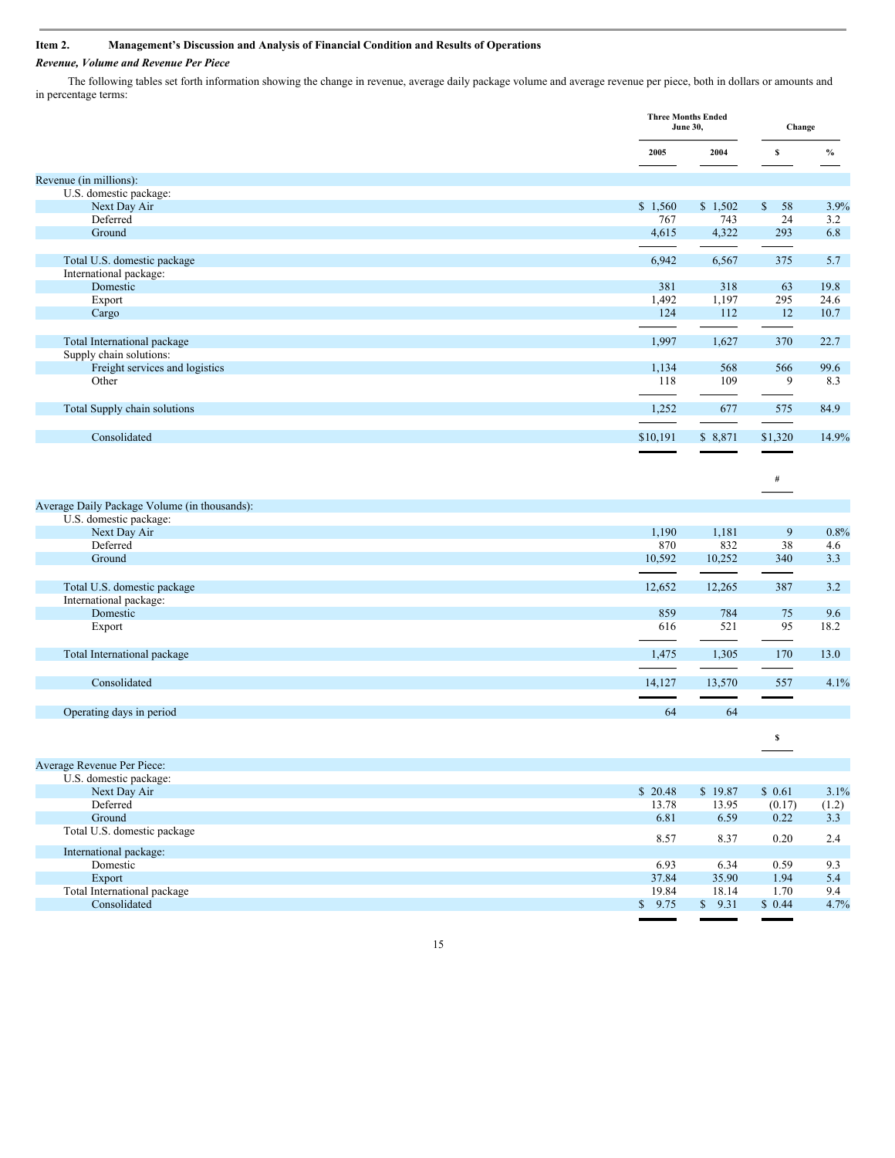# **Item 2. Management's Discussion and Analysis of Financial Condition and Results of Operations**

# *Revenue, Volume and Revenue Per Piece*

The following tables set forth information showing the change in revenue, average daily package volume and average revenue per piece, both in dollars or amounts and in percentage terms:

|                                              |          | <b>Three Months Ended</b><br><b>June 30,</b> |                    | Change |  |
|----------------------------------------------|----------|----------------------------------------------|--------------------|--------|--|
|                                              | 2005     | 2004                                         | ${\bf S}$          | $\%$   |  |
| Revenue (in millions):                       |          |                                              |                    |        |  |
| U.S. domestic package:                       |          |                                              |                    |        |  |
| Next Day Air                                 | \$1,560  | \$1,502                                      | $\mathbb{S}$<br>58 | 3.9%   |  |
| Deferred                                     | 767      | 743                                          | 24                 | 3.2    |  |
| Ground                                       | 4,615    | 4,322                                        | 293                | 6.8    |  |
| Total U.S. domestic package                  | 6,942    | 6,567                                        | 375                | 5.7    |  |
| International package:                       |          |                                              |                    |        |  |
| Domestic                                     | 381      | 318                                          | 63                 | 19.8   |  |
| Export                                       | 1,492    | 1,197                                        | 295                | 24.6   |  |
| Cargo                                        | 124      | 112                                          | 12                 | 10.7   |  |
| Total International package                  | 1,997    | 1,627                                        | 370                | 22.7   |  |
| Supply chain solutions:                      |          |                                              |                    |        |  |
| Freight services and logistics               | 1,134    | 568                                          | 566                | 99.6   |  |
| Other                                        | 118      | 109                                          | 9                  | 8.3    |  |
|                                              |          |                                              |                    |        |  |
| Total Supply chain solutions                 | 1,252    | 677                                          | 575                | 84.9   |  |
| Consolidated                                 | \$10,191 | \$ 8,871                                     | \$1,320            | 14.9%  |  |
|                                              |          |                                              |                    |        |  |
|                                              |          |                                              | $\#$               |        |  |
| Average Daily Package Volume (in thousands): |          |                                              |                    |        |  |
| U.S. domestic package:                       |          |                                              |                    |        |  |
| Next Day Air                                 | 1,190    | 1,181                                        | 9                  | 0.8%   |  |
| Deferred                                     | 870      | 832                                          | 38                 | 4.6    |  |
| Ground                                       | 10,592   | 10,252                                       | 340                | 3.3    |  |
|                                              |          |                                              |                    |        |  |
| Total U.S. domestic package                  | 12,652   | 12,265                                       | 387                | 3.2    |  |
| International package:                       |          |                                              |                    |        |  |
| Domestic                                     | 859      | 784                                          | 75                 | 9.6    |  |
| Export                                       | 616      | 521                                          | 95                 | 18.2   |  |
| Total International package                  | 1,475    | 1,305                                        | 170                | 13.0   |  |
|                                              |          |                                              |                    |        |  |
| Consolidated                                 | 14,127   | 13,570                                       | 557                | 4.1%   |  |
| Operating days in period                     | 64       | 64                                           |                    |        |  |
|                                              |          |                                              |                    |        |  |
|                                              |          |                                              | s                  |        |  |
| Average Revenue Per Piece:                   |          |                                              |                    |        |  |
| U.S. domestic package:                       |          |                                              |                    |        |  |
| Next Day Air                                 | \$20.48  | \$19.87                                      | \$0.61             | 3.1%   |  |
| Deferred                                     | 13.78    | 13.95                                        | (0.17)             | (1.2)  |  |
| Ground                                       | 6.81     | 6.59                                         | 0.22               | 3.3    |  |
| Total U.S. domestic package                  | 8.57     | 8.37                                         | $0.20\,$           | 2.4    |  |
| International package:                       |          |                                              |                    |        |  |
| Domestic                                     | 6.93     | 6.34                                         | 0.59               | 9.3    |  |
| Export                                       | 37.84    | 35.90                                        | 1.94               | 5.4    |  |
| Total International package                  | 19.84    | 18.14                                        | 1.70               | 9.4    |  |
| Consolidated                                 | \$9.75   | \$9.31                                       | \$0.44             | 4.7%   |  |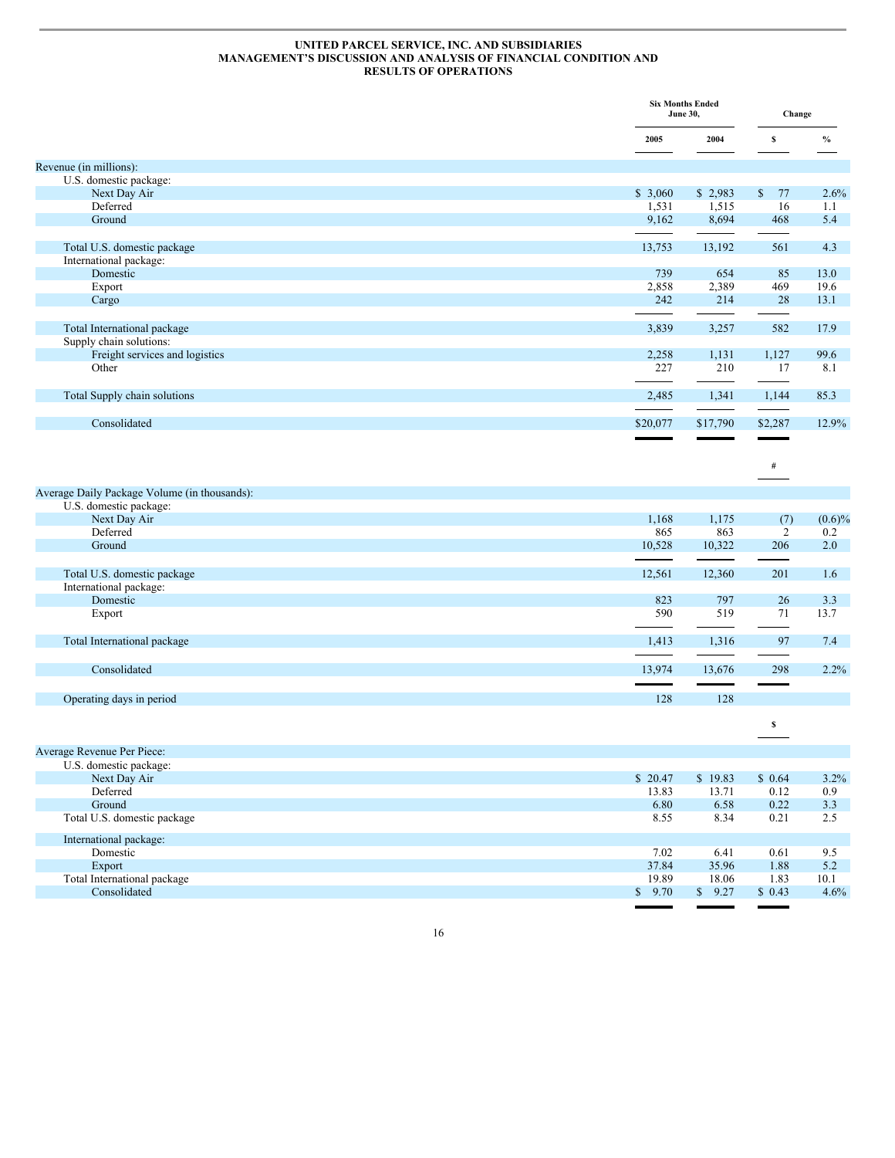|                                              |               | <b>Six Months Ended</b><br>June 30, |                    | Change     |
|----------------------------------------------|---------------|-------------------------------------|--------------------|------------|
|                                              | 2005          | 2004                                | $\mathbb S$        | $\%$       |
| Revenue (in millions):                       |               |                                     |                    |            |
| U.S. domestic package:                       |               |                                     |                    |            |
| Next Day Air                                 | \$3,060       | \$2,983                             | $\mathbb{S}$<br>77 | 2.6%       |
| Deferred                                     | 1,531         | 1,515                               | 16                 | 1.1        |
| Ground                                       | 9,162         | 8,694                               | 468                | 5.4        |
| Total U.S. domestic package                  | 13,753        | 13,192                              | 561                | 4.3        |
| International package:                       |               |                                     |                    |            |
| Domestic                                     | 739           | 654                                 | 85                 | 13.0       |
| Export                                       | 2,858         | 2,389                               | 469                | 19.6       |
| Cargo                                        | 242           | 214                                 | 28                 | 13.1       |
| Total International package                  | 3,839         | 3,257                               | 582                | 17.9       |
| Supply chain solutions:                      |               |                                     |                    |            |
| Freight services and logistics               | 2,258         | 1,131                               | 1,127              | 99.6       |
| Other                                        | 227           | 210                                 | 17                 | 8.1        |
|                                              |               |                                     |                    |            |
| Total Supply chain solutions                 | 2,485         | 1,341                               | 1,144              | 85.3       |
| Consolidated                                 | \$20,077      | \$17,790                            | \$2,287            | 12.9%      |
|                                              |               |                                     |                    |            |
|                                              |               |                                     | $\#$               |            |
| Average Daily Package Volume (in thousands): |               |                                     |                    |            |
| U.S. domestic package:                       |               |                                     |                    |            |
| Next Day Air<br>Deferred                     | 1,168         | 1,175                               | (7)                | $(0.6)\%$  |
| Ground                                       | 865<br>10,528 | 863<br>10,322                       | 2<br>206           | 0.2<br>2.0 |
|                                              |               |                                     |                    |            |
| Total U.S. domestic package                  | 12,561        | 12,360                              | 201                | 1.6        |
| International package:                       |               |                                     |                    |            |
| Domestic                                     | 823           | 797                                 | 26                 | 3.3        |
| Export                                       | 590           | 519                                 | 71                 | 13.7       |
| Total International package                  | 1,413         | 1,316                               | 97                 | 7.4        |
|                                              |               |                                     |                    |            |
| Consolidated                                 | 13,974        | 13,676                              | 298                | 2.2%       |
| Operating days in period                     | 128           | 128                                 |                    |            |
|                                              |               |                                     | S                  |            |
| Average Revenue Per Piece:                   |               |                                     |                    |            |
| U.S. domestic package:                       |               |                                     |                    |            |
| Next Day Air                                 | \$20.47       | \$19.83                             | \$0.64             | $3.2\%$    |
| Deferred                                     | 13.83         | 13.71                               | 0.12               | 0.9        |
| Ground                                       | 6.80          | 6.58                                | 0.22               | 3.3        |
| Total U.S. domestic package                  | 8.55          | 8.34                                | 0.21               | 2.5        |
| International package:                       |               |                                     |                    |            |
| Domestic                                     | 7.02          | 6.41                                | 0.61               | 9.5        |
| Export                                       | 37.84         | 35.96                               | 1.88               | 5.2        |
| Total International package                  | 19.89         | 18.06                               | 1.83               | 10.1       |
| Consolidated                                 | \$9.70        | \$9.27                              | \$0.43             | 4.6%       |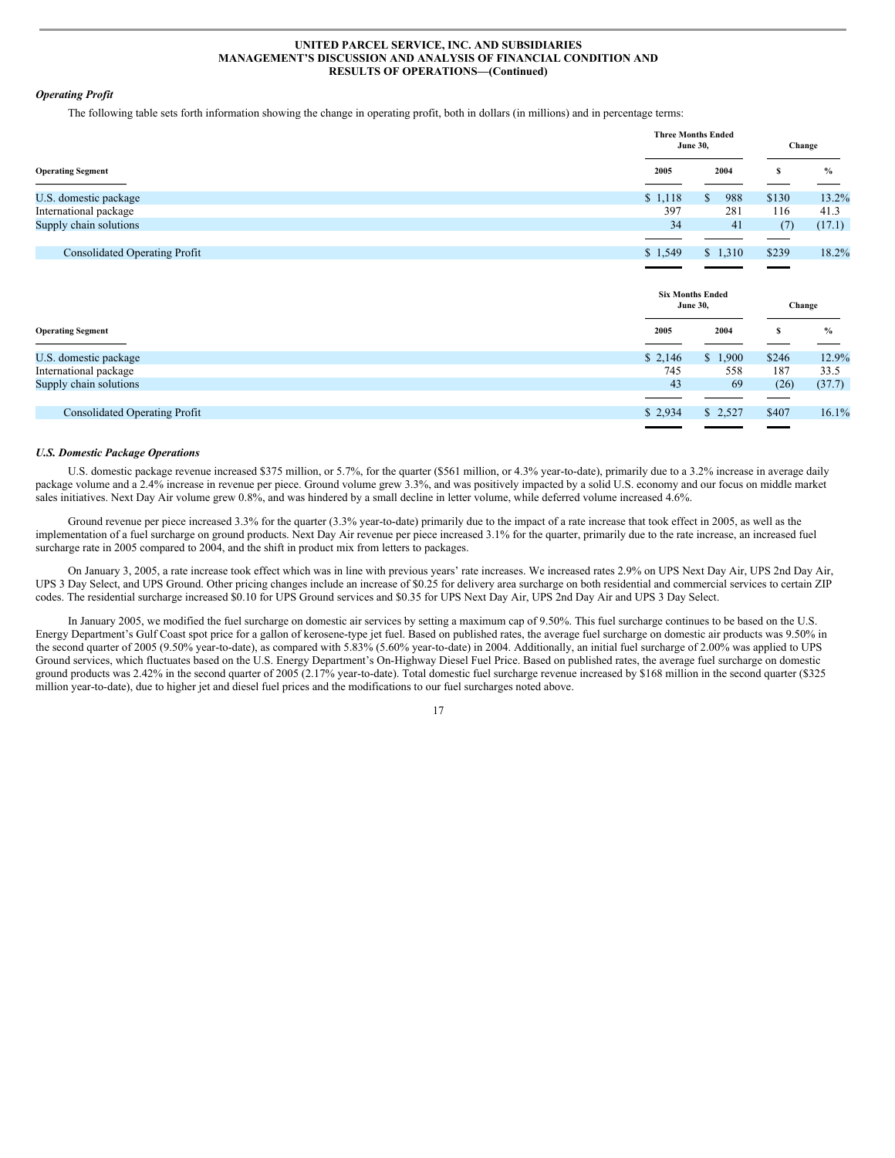## *Operating Profit*

The following table sets forth information showing the change in operating profit, both in dollars (in millions) and in percentage terms:

|                                      |                         | <b>Three Months Ended</b><br><b>June 30,</b> | Change |               |
|--------------------------------------|-------------------------|----------------------------------------------|--------|---------------|
| <b>Operating Segment</b>             | 2005                    | 2004                                         | s      | $\frac{0}{0}$ |
| U.S. domestic package                | \$1,118                 | 988<br>$\mathbb{S}$                          | \$130  | 13.2%         |
| International package                | 397                     | 281                                          | 116    | 41.3          |
| Supply chain solutions               | 34                      | 41                                           | (7)    | (17.1)        |
|                                      |                         |                                              |        |               |
| <b>Consolidated Operating Profit</b> | \$1,549                 | \$1,310                                      | \$239  | 18.2%         |
|                                      | <b>Six Months Ended</b> | <b>June 30,</b>                              | Change |               |
| <b>Operating Segment</b>             | 2005                    | 2004                                         | S      | $\%$          |
| U.S. domestic package                | \$2,146                 | \$1,900                                      | \$246  | 12.9%         |
| International package                | 745                     | 558                                          | 187    | 33.5          |
| Supply chain solutions               | 43                      | 69                                           | (26)   | (37.7)        |
|                                      |                         |                                              |        |               |
| <b>Consolidated Operating Profit</b> | \$2,934                 | \$2,527                                      | \$407  | 16.1%         |

#### *U.S. Domestic Package Operations*

U.S. domestic package revenue increased \$375 million, or 5.7%, for the quarter (\$561 million, or 4.3% year-to-date), primarily due to a 3.2% increase in average daily package volume and a 2.4% increase in revenue per piece. Ground volume grew 3.3%, and was positively impacted by a solid U.S. economy and our focus on middle market sales initiatives. Next Day Air volume grew 0.8%, and was hindered by a small decline in letter volume, while deferred volume increased 4.6%.

Ground revenue per piece increased 3.3% for the quarter (3.3% year-to-date) primarily due to the impact of a rate increase that took effect in 2005, as well as the implementation of a fuel surcharge on ground products. Next Day Air revenue per piece increased 3.1% for the quarter, primarily due to the rate increase, an increased fuel surcharge rate in 2005 compared to 2004, and the shift in product mix from letters to packages.

On January 3, 2005, a rate increase took effect which was in line with previous years' rate increases. We increased rates 2.9% on UPS Next Day Air, UPS 2nd Day Air, UPS 3 Day Select, and UPS Ground. Other pricing changes include an increase of \$0.25 for delivery area surcharge on both residential and commercial services to certain ZIP codes. The residential surcharge increased \$0.10 for UPS Ground services and \$0.35 for UPS Next Day Air, UPS 2nd Day Air and UPS 3 Day Select.

In January 2005, we modified the fuel surcharge on domestic air services by setting a maximum cap of 9.50%. This fuel surcharge continues to be based on the U.S. Energy Department's Gulf Coast spot price for a gallon of kerosene-type jet fuel. Based on published rates, the average fuel surcharge on domestic air products was 9.50% in the second quarter of 2005 (9.50% year-to-date), as compared with 5.83% (5.60% year-to-date) in 2004. Additionally, an initial fuel surcharge of 2.00% was applied to UPS Ground services, which fluctuates based on the U.S. Energy Department's On-Highway Diesel Fuel Price. Based on published rates, the average fuel surcharge on domestic ground products was 2.42% in the second quarter of 2005 (2.17% year-to-date). Total domestic fuel surcharge revenue increased by \$168 million in the second quarter (\$325 million year-to-date), due to higher jet and diesel fuel prices and the modifications to our fuel surcharges noted above.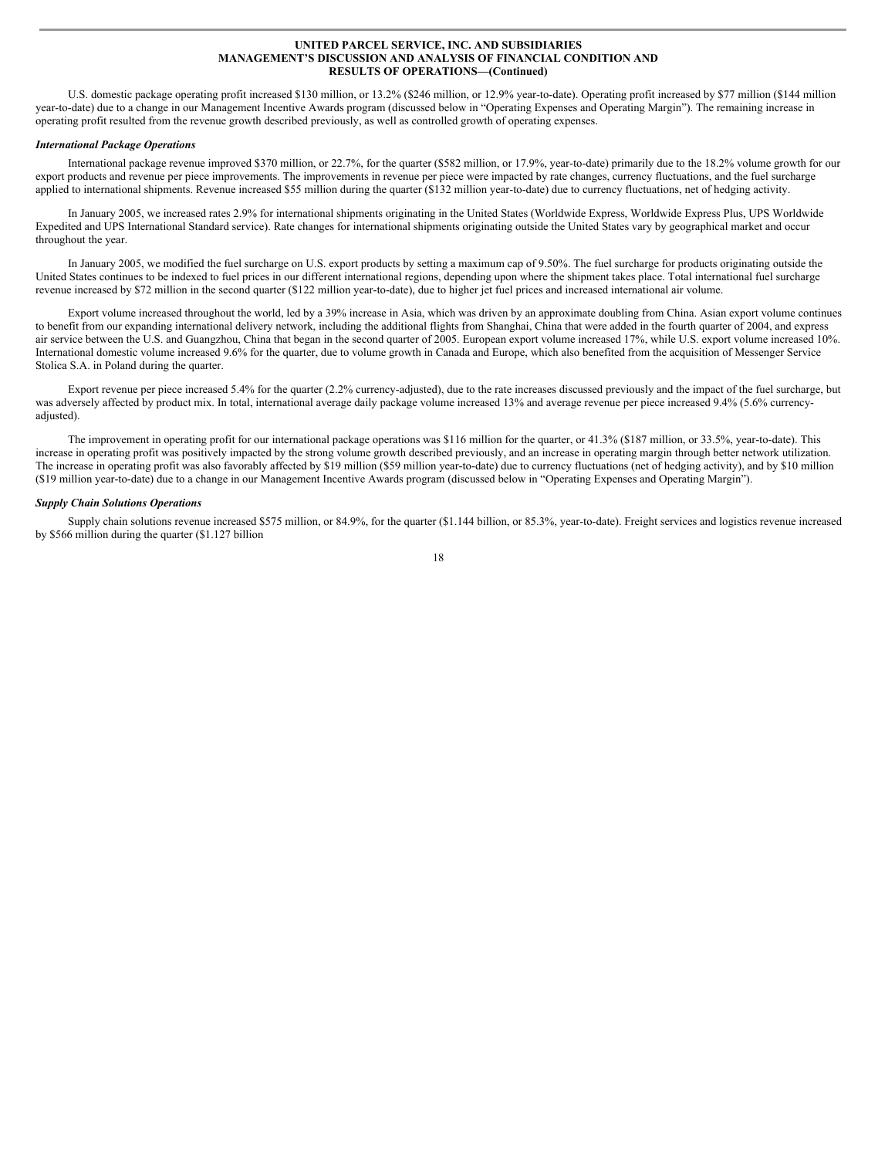U.S. domestic package operating profit increased \$130 million, or 13.2% (\$246 million, or 12.9% year-to-date). Operating profit increased by \$77 million (\$144 million year-to-date) due to a change in our Management Incentive Awards program (discussed below in "Operating Expenses and Operating Margin"). The remaining increase in operating profit resulted from the revenue growth described previously, as well as controlled growth of operating expenses.

#### *International Package Operations*

International package revenue improved \$370 million, or 22.7%, for the quarter (\$582 million, or 17.9%, year-to-date) primarily due to the 18.2% volume growth for our export products and revenue per piece improvements. The improvements in revenue per piece were impacted by rate changes, currency fluctuations, and the fuel surcharge applied to international shipments. Revenue increased \$55 million during the quarter (\$132 million year-to-date) due to currency fluctuations, net of hedging activity.

In January 2005, we increased rates 2.9% for international shipments originating in the United States (Worldwide Express, Worldwide Express Plus, UPS Worldwide Expedited and UPS International Standard service). Rate changes for international shipments originating outside the United States vary by geographical market and occur throughout the year.

In January 2005, we modified the fuel surcharge on U.S. export products by setting a maximum cap of 9.50%. The fuel surcharge for products originating outside the United States continues to be indexed to fuel prices in our different international regions, depending upon where the shipment takes place. Total international fuel surcharge revenue increased by \$72 million in the second quarter (\$122 million year-to-date), due to higher jet fuel prices and increased international air volume.

Export volume increased throughout the world, led by a 39% increase in Asia, which was driven by an approximate doubling from China. Asian export volume continues to benefit from our expanding international delivery network, including the additional flights from Shanghai, China that were added in the fourth quarter of 2004, and express air service between the U.S. and Guangzhou, China that began in the second quarter of 2005. European export volume increased 17%, while U.S. export volume increased 10%. International domestic volume increased 9.6% for the quarter, due to volume growth in Canada and Europe, which also benefited from the acquisition of Messenger Service Stolica S.A. in Poland during the quarter.

Export revenue per piece increased 5.4% for the quarter (2.2% currency-adjusted), due to the rate increases discussed previously and the impact of the fuel surcharge, but was adversely affected by product mix. In total, international average daily package volume increased 13% and average revenue per piece increased 9.4% (5.6% currencyadjusted).

The improvement in operating profit for our international package operations was \$116 million for the quarter, or 41.3% (\$187 million, or 33.5%, year-to-date). This increase in operating profit was positively impacted by the strong volume growth described previously, and an increase in operating margin through better network utilization. The increase in operating profit was also favorably affected by \$19 million (\$59 million year-to-date) due to currency fluctuations (net of hedging activity), and by \$10 million (\$19 million year-to-date) due to a change in our Management Incentive Awards program (discussed below in "Operating Expenses and Operating Margin").

#### *Supply Chain Solutions Operations*

Supply chain solutions revenue increased \$575 million, or 84.9%, for the quarter (\$1.144 billion, or 85.3%, year-to-date). Freight services and logistics revenue increased by \$566 million during the quarter (\$1.127 billion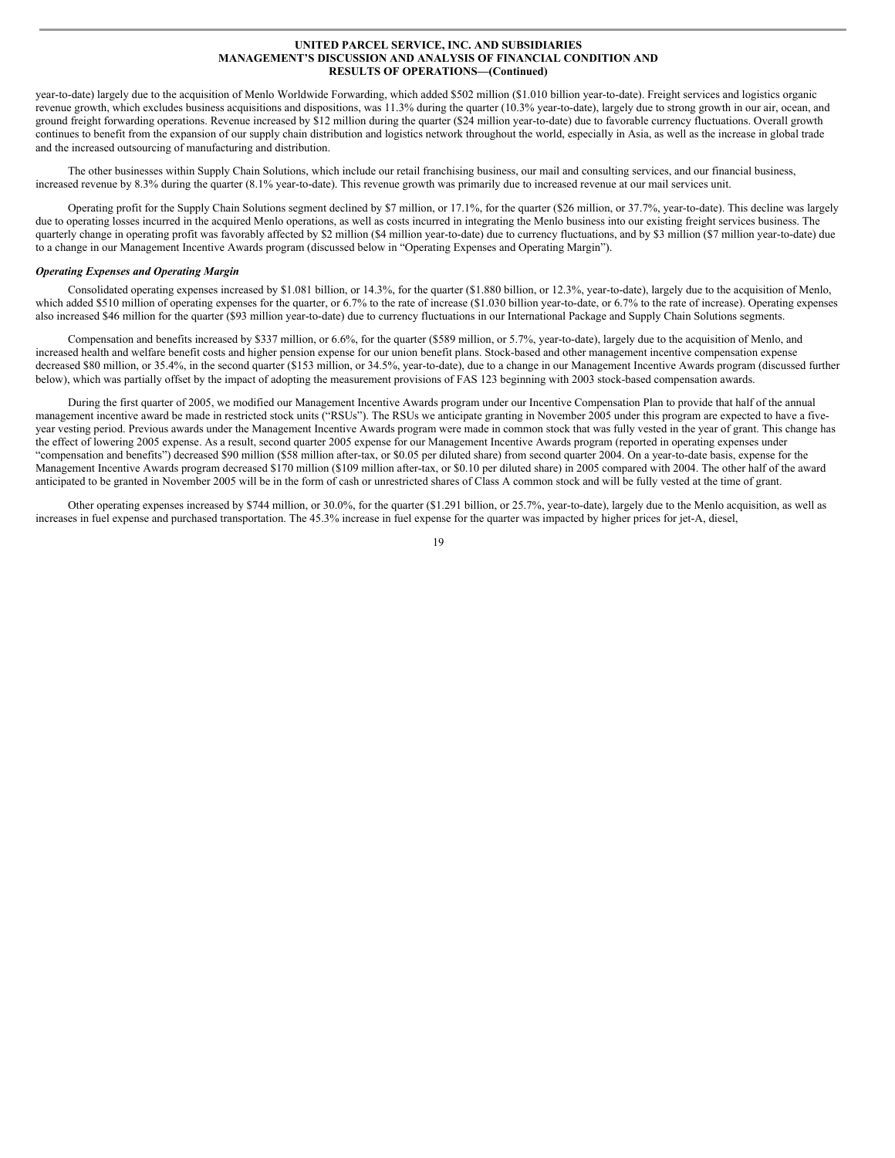year-to-date) largely due to the acquisition of Menlo Worldwide Forwarding, which added \$502 million (\$1.010 billion year-to-date). Freight services and logistics organic revenue growth, which excludes business acquisitions and dispositions, was 11.3% during the quarter (10.3% year-to-date), largely due to strong growth in our air, ocean, and ground freight forwarding operations. Revenue increased by \$12 million during the quarter (\$24 million year-to-date) due to favorable currency fluctuations. Overall growth continues to benefit from the expansion of our supply chain distribution and logistics network throughout the world, especially in Asia, as well as the increase in global trade and the increased outsourcing of manufacturing and distribution.

The other businesses within Supply Chain Solutions, which include our retail franchising business, our mail and consulting services, and our financial business, increased revenue by 8.3% during the quarter (8.1% year-to-date). This revenue growth was primarily due to increased revenue at our mail services unit.

Operating profit for the Supply Chain Solutions segment declined by \$7 million, or 17.1%, for the quarter (\$26 million, or 37.7%, year-to-date). This decline was largely due to operating losses incurred in the acquired Menlo operations, as well as costs incurred in integrating the Menlo business into our existing freight services business. The quarterly change in operating profit was favorably affected by \$2 million (\$4 million year-to-date) due to currency fluctuations, and by \$3 million (\$7 million year-to-date) due to a change in our Management Incentive Awards program (discussed below in "Operating Expenses and Operating Margin").

# *Operating Expenses and Operating Margin*

Consolidated operating expenses increased by \$1.081 billion, or 14.3%, for the quarter (\$1.880 billion, or 12.3%, year-to-date), largely due to the acquisition of Menlo, which added \$510 million of operating expenses for the quarter, or 6.7% to the rate of increase (\$1.030 billion year-to-date, or 6.7% to the rate of increase). Operating expenses also increased \$46 million for the quarter (\$93 million year-to-date) due to currency fluctuations in our International Package and Supply Chain Solutions segments.

Compensation and benefits increased by \$337 million, or 6.6%, for the quarter (\$589 million, or 5.7%, year-to-date), largely due to the acquisition of Menlo, and increased health and welfare benefit costs and higher pension expense for our union benefit plans. Stock-based and other management incentive compensation expense decreased \$80 million, or 35.4%, in the second quarter (\$153 million, or 34.5%, year-to-date), due to a change in our Management Incentive Awards program (discussed further below), which was partially offset by the impact of adopting the measurement provisions of FAS 123 beginning with 2003 stock-based compensation awards.

During the first quarter of 2005, we modified our Management Incentive Awards program under our Incentive Compensation Plan to provide that half of the annual management incentive award be made in restricted stock units ("RSUs"). The RSUs we anticipate granting in November 2005 under this program are expected to have a fiveyear vesting period. Previous awards under the Management Incentive Awards program were made in common stock that was fully vested in the year of grant. This change has the effect of lowering 2005 expense. As a result, second quarter 2005 expense for our Management Incentive Awards program (reported in operating expenses under "compensation and benefits") decreased \$90 million (\$58 million after-tax, or \$0.05 per diluted share) from second quarter 2004. On a year-to-date basis, expense for the Management Incentive Awards program decreased \$170 million (\$109 million after-tax, or \$0.10 per diluted share) in 2005 compared with 2004. The other half of the award anticipated to be granted in November 2005 will be in the form of cash or unrestricted shares of Class A common stock and will be fully vested at the time of grant.

Other operating expenses increased by \$744 million, or 30.0%, for the quarter (\$1.291 billion, or 25.7%, year-to-date), largely due to the Menlo acquisition, as well as increases in fuel expense and purchased transportation. The 45.3% increase in fuel expense for the quarter was impacted by higher prices for jet-A, diesel,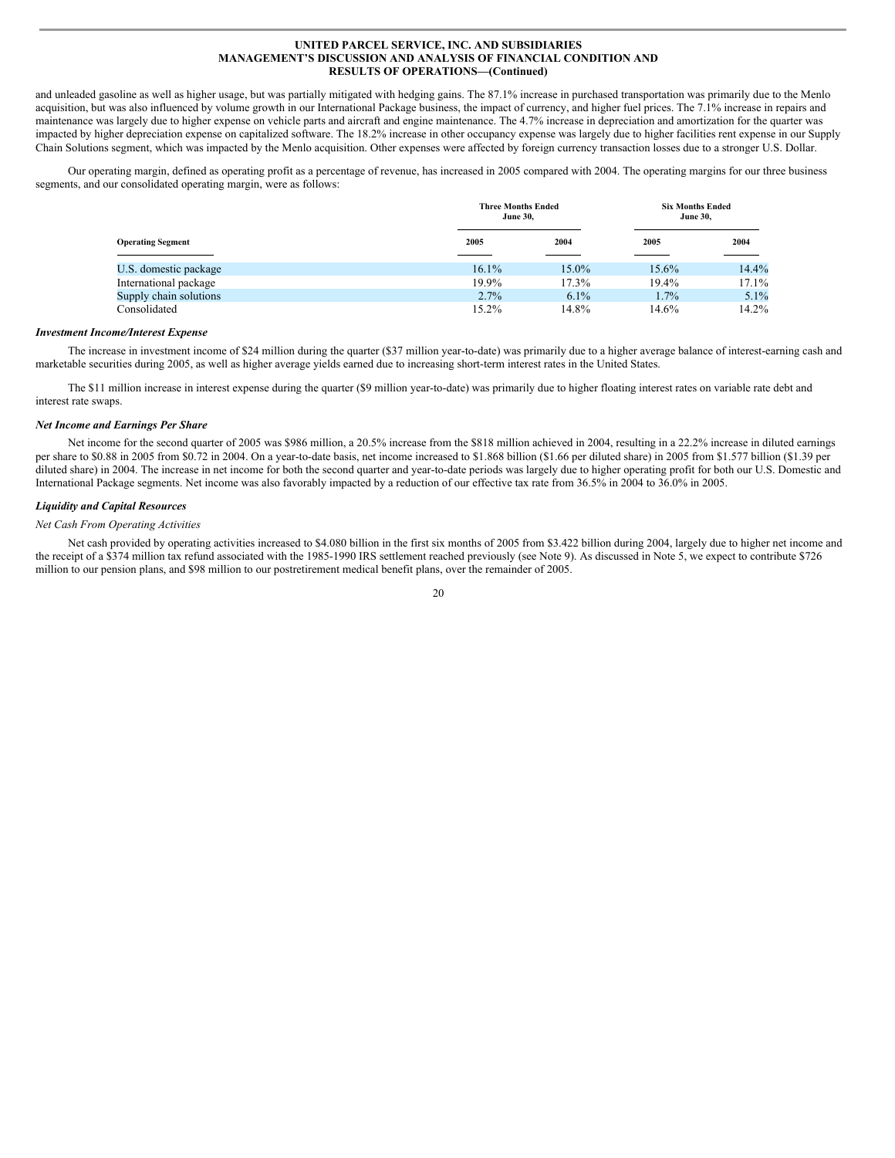and unleaded gasoline as well as higher usage, but was partially mitigated with hedging gains. The 87.1% increase in purchased transportation was primarily due to the Menlo acquisition, but was also influenced by volume growth in our International Package business, the impact of currency, and higher fuel prices. The 7.1% increase in repairs and maintenance was largely due to higher expense on vehicle parts and aircraft and engine maintenance. The 4.7% increase in depreciation and amortization for the quarter was impacted by higher depreciation expense on capitalized software. The 18.2% increase in other occupancy expense was largely due to higher facilities rent expense in our Supply Chain Solutions segment, which was impacted by the Menlo acquisition. Other expenses were affected by foreign currency transaction losses due to a stronger U.S. Dollar.

Our operating margin, defined as operating profit as a percentage of revenue, has increased in 2005 compared with 2004. The operating margins for our three business segments, and our consolidated operating margin, were as follows:

|                          |          | <b>Three Months Ended</b><br><b>June 30,</b> |         | <b>Six Months Ended</b><br><b>June 30,</b> |
|--------------------------|----------|----------------------------------------------|---------|--------------------------------------------|
| <b>Operating Segment</b> | 2005     | 2004                                         | 2005    | 2004                                       |
|                          |          |                                              |         |                                            |
| U.S. domestic package    | $16.1\%$ | 15.0%                                        | 15.6%   | 14.4%                                      |
| International package    | 19.9%    | 17.3%                                        | 19.4%   | $17.1\%$                                   |
| Supply chain solutions   | 2.7%     | $6.1\%$                                      | $1.7\%$ | 5.1%                                       |
| Consolidated             | 15.2%    | 14.8%                                        | 14.6%   | 14.2%                                      |

# *Investment Income/Interest Expense*

The increase in investment income of \$24 million during the quarter (\$37 million year-to-date) was primarily due to a higher average balance of interest-earning cash and marketable securities during 2005, as well as higher average yields earned due to increasing short-term interest rates in the United States.

The \$11 million increase in interest expense during the quarter (\$9 million year-to-date) was primarily due to higher floating interest rates on variable rate debt and interest rate swaps.

# *Net Income and Earnings Per Share*

Net income for the second quarter of 2005 was \$986 million, a 20.5% increase from the \$818 million achieved in 2004, resulting in a 22.2% increase in diluted earnings per share to \$0.88 in 2005 from \$0.72 in 2004. On a year-to-date basis, net income increased to \$1.868 billion (\$1.66 per diluted share) in 2005 from \$1.577 billion (\$1.39 per diluted share) in 2004. The increase in net income for both the second quarter and year-to-date periods was largely due to higher operating profit for both our U.S. Domestic and International Package segments. Net income was also favorably impacted by a reduction of our effective tax rate from 36.5% in 2004 to 36.0% in 2005.

# *Liquidity and Capital Resources*

# *Net Cash From Operating Activities*

Net cash provided by operating activities increased to \$4.080 billion in the first six months of 2005 from \$3.422 billion during 2004, largely due to higher net income and the receipt of a \$374 million tax refund associated with the 1985-1990 IRS settlement reached previously (see Note 9). As discussed in Note 5, we expect to contribute \$726 million to our pension plans, and \$98 million to our postretirement medical benefit plans, over the remainder of 2005.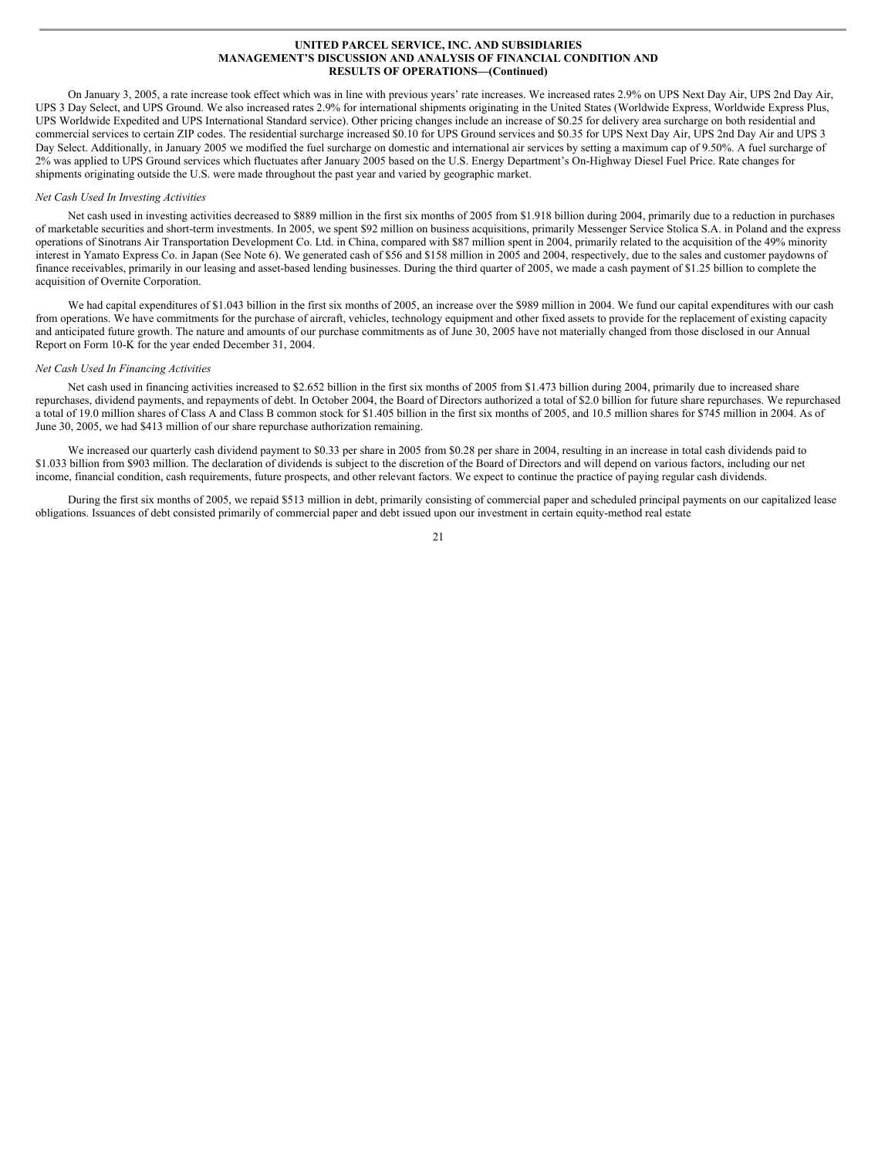On January 3, 2005, a rate increase took effect which was in line with previous years' rate increases. We increased rates 2.9% on UPS Next Day Air, UPS 2nd Day Air, UPS 3 Day Select, and UPS Ground. We also increased rates 2.9% for international shipments originating in the United States (Worldwide Express, Worldwide Express Plus, UPS Worldwide Expedited and UPS International Standard service). Other pricing changes include an increase of \$0.25 for delivery area surcharge on both residential and commercial services to certain ZIP codes. The residential surcharge increased \$0.10 for UPS Ground services and \$0.35 for UPS Next Day Air, UPS 2nd Day Air and UPS 3 Day Select. Additionally, in January 2005 we modified the fuel surcharge on domestic and international air services by setting a maximum cap of 9.50%. A fuel surcharge of 2% was applied to UPS Ground services which fluctuates after January 2005 based on the U.S. Energy Department's On-Highway Diesel Fuel Price. Rate changes for shipments originating outside the U.S. were made throughout the past year and varied by geographic market.

#### *Net Cash Used In Investing Activities*

Net cash used in investing activities decreased to \$889 million in the first six months of 2005 from \$1.918 billion during 2004, primarily due to a reduction in purchases of marketable securities and short-term investments. In 2005, we spent \$92 million on business acquisitions, primarily Messenger Service Stolica S.A. in Poland and the express operations of Sinotrans Air Transportation Development Co. Ltd. in China, compared with \$87 million spent in 2004, primarily related to the acquisition of the 49% minority interest in Yamato Express Co. in Japan (See Note 6). We generated cash of \$56 and \$158 million in 2005 and 2004, respectively, due to the sales and customer paydowns of finance receivables, primarily in our leasing and asset-based lending businesses. During the third quarter of 2005, we made a cash payment of \$1.25 billion to complete the acquisition of Overnite Corporation.

We had capital expenditures of \$1.043 billion in the first six months of 2005, an increase over the \$989 million in 2004. We fund our capital expenditures with our cash from operations. We have commitments for the purchase of aircraft, vehicles, technology equipment and other fixed assets to provide for the replacement of existing capacity and anticipated future growth. The nature and amounts of our purchase commitments as of June 30, 2005 have not materially changed from those disclosed in our Annual Report on Form 10-K for the year ended December 31, 2004.

#### *Net Cash Used In Financing Activities*

Net cash used in financing activities increased to \$2.652 billion in the first six months of 2005 from \$1.473 billion during 2004, primarily due to increased share repurchases, dividend payments, and repayments of debt. In October 2004, the Board of Directors authorized a total of \$2.0 billion for future share repurchases. We repurchased a total of 19.0 million shares of Class A and Class B common stock for \$1.405 billion in the first six months of 2005, and 10.5 million shares for \$745 million in 2004. As of June 30, 2005, we had \$413 million of our share repurchase authorization remaining.

We increased our quarterly cash dividend payment to \$0.33 per share in 2005 from \$0.28 per share in 2004, resulting in an increase in total cash dividends paid to \$1.033 billion from \$903 million. The declaration of dividends is subject to the discretion of the Board of Directors and will depend on various factors, including our net income, financial condition, cash requirements, future prospects, and other relevant factors. We expect to continue the practice of paying regular cash dividends.

During the first six months of 2005, we repaid \$513 million in debt, primarily consisting of commercial paper and scheduled principal payments on our capitalized lease obligations. Issuances of debt consisted primarily of commercial paper and debt issued upon our investment in certain equity-method real estate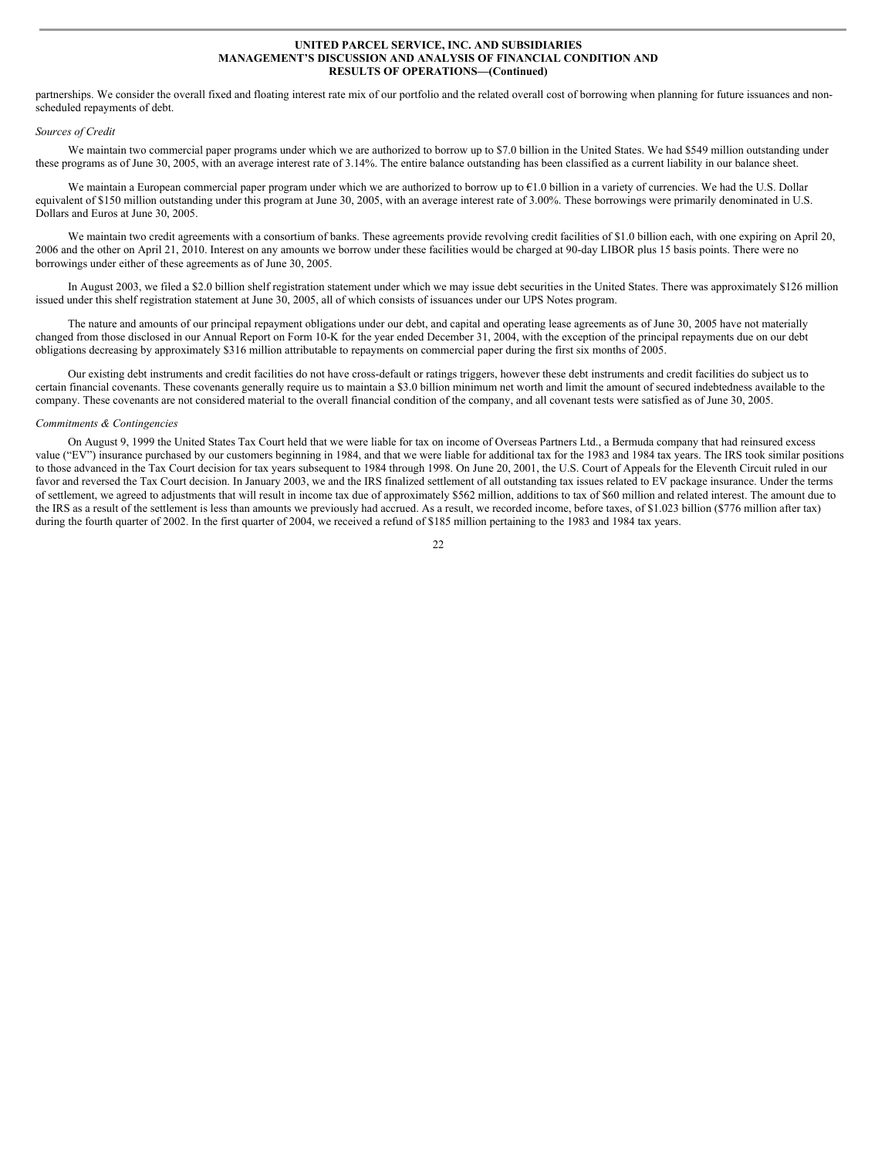partnerships. We consider the overall fixed and floating interest rate mix of our portfolio and the related overall cost of borrowing when planning for future issuances and nonscheduled repayments of debt.

#### *Sources of Credit*

We maintain two commercial paper programs under which we are authorized to borrow up to \$7.0 billion in the United States. We had \$549 million outstanding under these programs as of June 30, 2005, with an average interest rate of 3.14%. The entire balance outstanding has been classified as a current liability in our balance sheet.

We maintain a European commercial paper program under which we are authorized to borrow up to €1.0 billion in a variety of currencies. We had the U.S. Dollar equivalent of \$150 million outstanding under this program at June 30, 2005, with an average interest rate of 3.00%. These borrowings were primarily denominated in U.S. Dollars and Euros at June 30, 2005.

We maintain two credit agreements with a consortium of banks. These agreements provide revolving credit facilities of \$1.0 billion each, with one expiring on April 20, 2006 and the other on April 21, 2010. Interest on any amounts we borrow under these facilities would be charged at 90-day LIBOR plus 15 basis points. There were no borrowings under either of these agreements as of June 30, 2005.

In August 2003, we filed a \$2.0 billion shelf registration statement under which we may issue debt securities in the United States. There was approximately \$126 million issued under this shelf registration statement at June 30, 2005, all of which consists of issuances under our UPS Notes program.

The nature and amounts of our principal repayment obligations under our debt, and capital and operating lease agreements as of June 30, 2005 have not materially changed from those disclosed in our Annual Report on Form 10-K for the year ended December 31, 2004, with the exception of the principal repayments due on our debt obligations decreasing by approximately \$316 million attributable to repayments on commercial paper during the first six months of 2005.

Our existing debt instruments and credit facilities do not have cross-default or ratings triggers, however these debt instruments and credit facilities do subject us to certain financial covenants. These covenants generally require us to maintain a \$3.0 billion minimum net worth and limit the amount of secured indebtedness available to the company. These covenants are not considered material to the overall financial condition of the company, and all covenant tests were satisfied as of June 30, 2005.

### *Commitments & Contingencies*

On August 9, 1999 the United States Tax Court held that we were liable for tax on income of Overseas Partners Ltd., a Bermuda company that had reinsured excess value ("EV") insurance purchased by our customers beginning in 1984, and that we were liable for additional tax for the 1983 and 1984 tax years. The IRS took similar positions to those advanced in the Tax Court decision for tax years subsequent to 1984 through 1998. On June 20, 2001, the U.S. Court of Appeals for the Eleventh Circuit ruled in our favor and reversed the Tax Court decision. In January 2003, we and the IRS finalized settlement of all outstanding tax issues related to EV package insurance. Under the terms of settlement, we agreed to adjustments that will result in income tax due of approximately \$562 million, additions to tax of \$60 million and related interest. The amount due to the IRS as a result of the settlement is less than amounts we previously had accrued. As a result, we recorded income, before taxes, of \$1.023 billion (\$776 million after tax) during the fourth quarter of 2002. In the first quarter of 2004, we received a refund of \$185 million pertaining to the 1983 and 1984 tax years.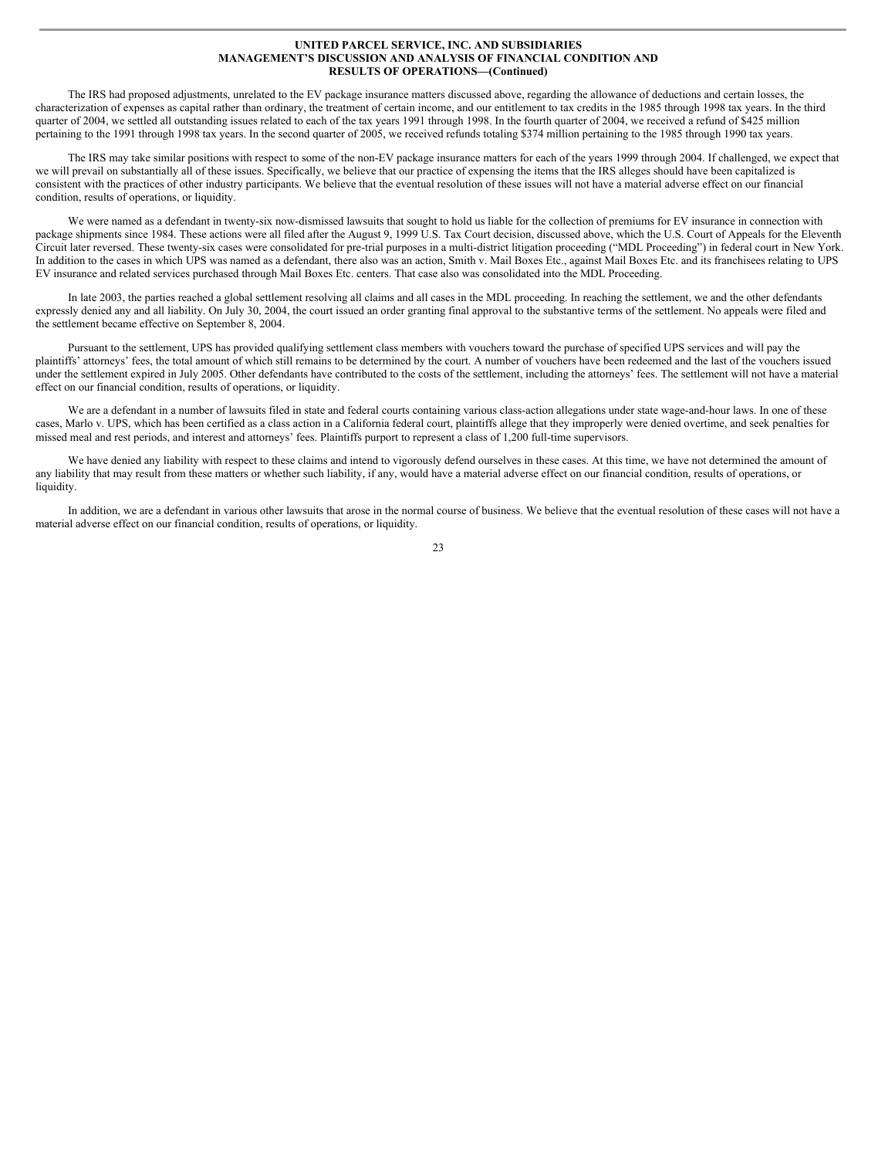The IRS had proposed adjustments, unrelated to the EV package insurance matters discussed above, regarding the allowance of deductions and certain losses, the characterization of expenses as capital rather than ordinary, the treatment of certain income, and our entitlement to tax credits in the 1985 through 1998 tax years. In the third quarter of 2004, we settled all outstanding issues related to each of the tax years 1991 through 1998. In the fourth quarter of 2004, we received a refund of \$425 million pertaining to the 1991 through 1998 tax years. In the second quarter of 2005, we received refunds totaling \$374 million pertaining to the 1985 through 1990 tax years.

The IRS may take similar positions with respect to some of the non-EV package insurance matters for each of the years 1999 through 2004. If challenged, we expect that we will prevail on substantially all of these issues. Specifically, we believe that our practice of expensing the items that the IRS alleges should have been capitalized is consistent with the practices of other industry participants. We believe that the eventual resolution of these issues will not have a material adverse effect on our financial condition, results of operations, or liquidity.

We were named as a defendant in twenty-six now-dismissed lawsuits that sought to hold us liable for the collection of premiums for EV insurance in connection with package shipments since 1984. These actions were all filed after the August 9, 1999 U.S. Tax Court decision, discussed above, which the U.S. Court of Appeals for the Eleventh Circuit later reversed. These twenty-six cases were consolidated for pre-trial purposes in a multi-district litigation proceeding ("MDL Proceeding") in federal court in New York. In addition to the cases in which UPS was named as a defendant, there also was an action, Smith v. Mail Boxes Etc., against Mail Boxes Etc. and its franchisees relating to UPS EV insurance and related services purchased through Mail Boxes Etc. centers. That case also was consolidated into the MDL Proceeding.

In late 2003, the parties reached a global settlement resolving all claims and all cases in the MDL proceeding. In reaching the settlement, we and the other defendants expressly denied any and all liability. On July 30, 2004, the court issued an order granting final approval to the substantive terms of the settlement. No appeals were filed and the settlement became effective on September 8, 2004.

Pursuant to the settlement, UPS has provided qualifying settlement class members with vouchers toward the purchase of specified UPS services and will pay the plaintiffs' attorneys' fees, the total amount of which still remains to be determined by the court. A number of vouchers have been redeemed and the last of the vouchers issued under the settlement expired in July 2005. Other defendants have contributed to the costs of the settlement, including the attorneys' fees. The settlement will not have a material effect on our financial condition, results of operations, or liquidity.

We are a defendant in a number of lawsuits filed in state and federal courts containing various class-action allegations under state wage-and-hour laws. In one of these cases, Marlo v. UPS, which has been certified as a class action in a California federal court, plaintiffs allege that they improperly were denied overtime, and seek penalties for missed meal and rest periods, and interest and attorneys' fees. Plaintiffs purport to represent a class of 1,200 full-time supervisors.

We have denied any liability with respect to these claims and intend to vigorously defend ourselves in these cases. At this time, we have not determined the amount of any liability that may result from these matters or whether such liability, if any, would have a material adverse effect on our financial condition, results of operations, or liquidity.

In addition, we are a defendant in various other lawsuits that arose in the normal course of business. We believe that the eventual resolution of these cases will not have a material adverse effect on our financial condition, results of operations, or liquidity.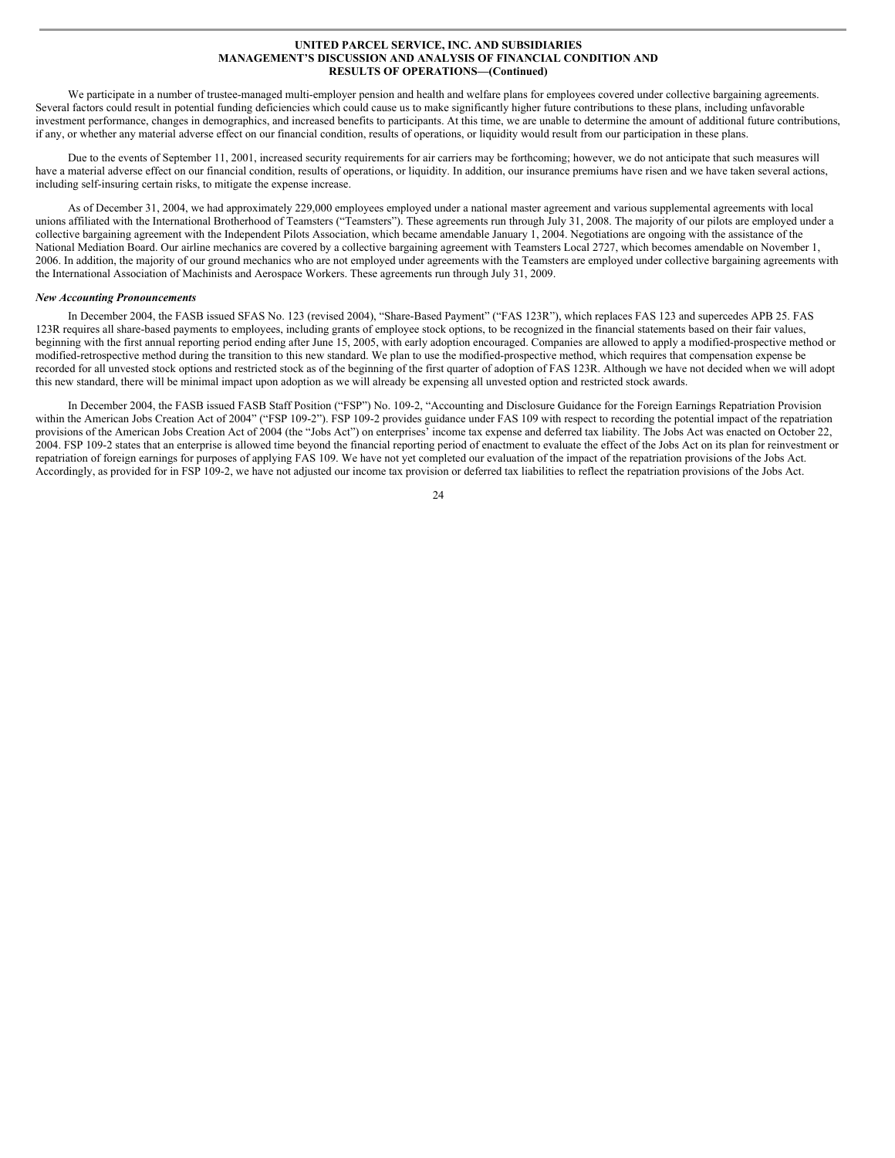We participate in a number of trustee-managed multi-employer pension and health and welfare plans for employees covered under collective bargaining agreements. Several factors could result in potential funding deficiencies which could cause us to make significantly higher future contributions to these plans, including unfavorable investment performance, changes in demographics, and increased benefits to participants. At this time, we are unable to determine the amount of additional future contributions, if any, or whether any material adverse effect on our financial condition, results of operations, or liquidity would result from our participation in these plans.

Due to the events of September 11, 2001, increased security requirements for air carriers may be forthcoming; however, we do not anticipate that such measures will have a material adverse effect on our financial condition, results of operations, or liquidity. In addition, our insurance premiums have risen and we have taken several actions, including self-insuring certain risks, to mitigate the expense increase.

As of December 31, 2004, we had approximately 229,000 employees employed under a national master agreement and various supplemental agreements with local unions affiliated with the International Brotherhood of Teamsters ("Teamsters"). These agreements run through July 31, 2008. The majority of our pilots are employed under a collective bargaining agreement with the Independent Pilots Association, which became amendable January 1, 2004. Negotiations are ongoing with the assistance of the National Mediation Board. Our airline mechanics are covered by a collective bargaining agreement with Teamsters Local 2727, which becomes amendable on November 1, 2006. In addition, the majority of our ground mechanics who are not employed under agreements with the Teamsters are employed under collective bargaining agreements with the International Association of Machinists and Aerospace Workers. These agreements run through July 31, 2009.

### *New Accounting Pronouncements*

In December 2004, the FASB issued SFAS No. 123 (revised 2004), "Share-Based Payment" ("FAS 123R"), which replaces FAS 123 and supercedes APB 25. FAS 123R requires all share-based payments to employees, including grants of employee stock options, to be recognized in the financial statements based on their fair values, beginning with the first annual reporting period ending after June 15, 2005, with early adoption encouraged. Companies are allowed to apply a modified-prospective method or modified-retrospective method during the transition to this new standard. We plan to use the modified-prospective method, which requires that compensation expense be recorded for all unvested stock options and restricted stock as of the beginning of the first quarter of adoption of FAS 123R. Although we have not decided when we will adopt this new standard, there will be minimal impact upon adoption as we will already be expensing all unvested option and restricted stock awards.

In December 2004, the FASB issued FASB Staff Position ("FSP") No. 109-2, "Accounting and Disclosure Guidance for the Foreign Earnings Repatriation Provision within the American Jobs Creation Act of 2004" ("FSP 109-2"). FSP 109-2 provides guidance under FAS 109 with respect to recording the potential impact of the repatriation provisions of the American Jobs Creation Act of 2004 (the "Jobs Act") on enterprises' income tax expense and deferred tax liability. The Jobs Act was enacted on October 22, 2004. FSP 109-2 states that an enterprise is allowed time beyond the financial reporting period of enactment to evaluate the effect of the Jobs Act on its plan for reinvestment or repatriation of foreign earnings for purposes of applying FAS 109. We have not yet completed our evaluation of the impact of the repatriation provisions of the Jobs Act. Accordingly, as provided for in FSP 109-2, we have not adjusted our income tax provision or deferred tax liabilities to reflect the repatriation provisions of the Jobs Act.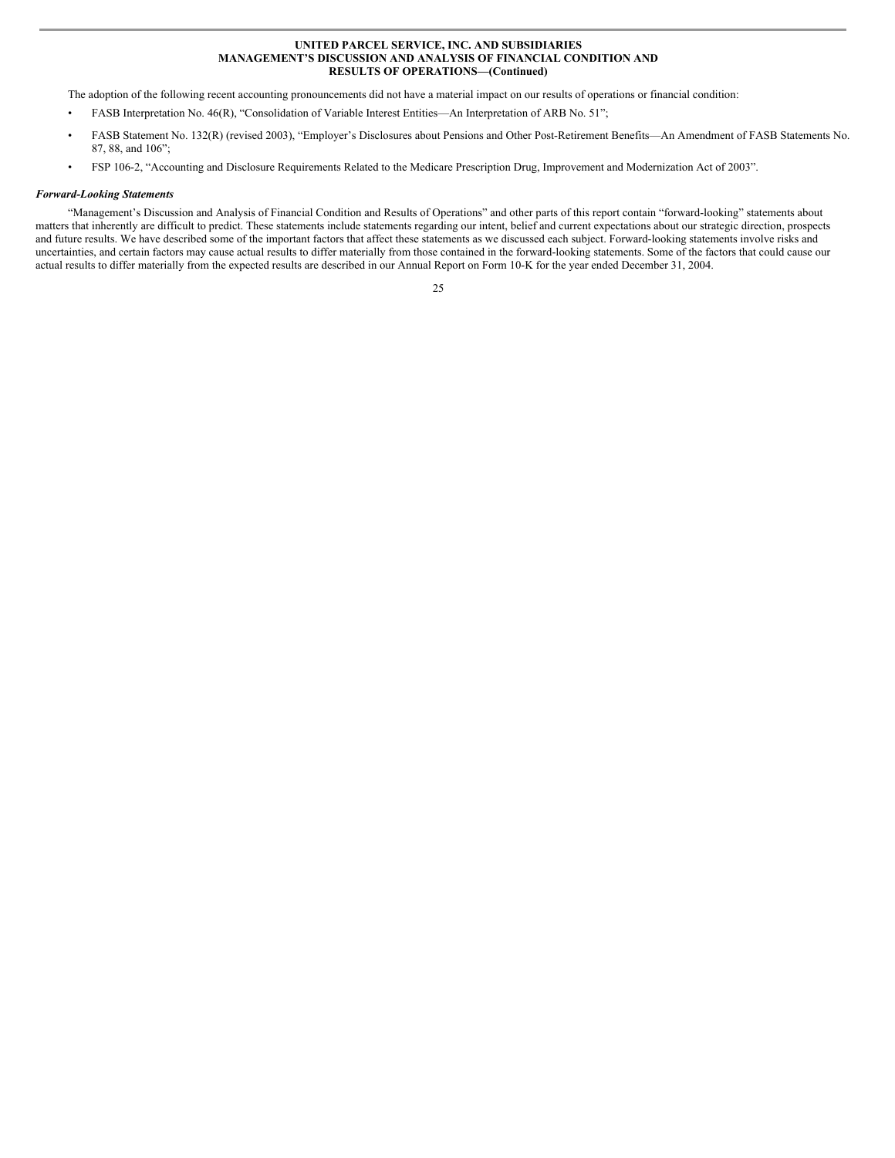The adoption of the following recent accounting pronouncements did not have a material impact on our results of operations or financial condition:

- FASB Interpretation No. 46(R), "Consolidation of Variable Interest Entities—An Interpretation of ARB No. 51";
- FASB Statement No. 132(R) (revised 2003), "Employer's Disclosures about Pensions and Other Post-Retirement Benefits—An Amendment of FASB Statements No. 87, 88, and 106";
- FSP 106-2, "Accounting and Disclosure Requirements Related to the Medicare Prescription Drug, Improvement and Modernization Act of 2003".

# *Forward-Looking Statements*

"Management's Discussion and Analysis of Financial Condition and Results of Operations" and other parts of this report contain "forward-looking" statements about matters that inherently are difficult to predict. These statements include statements regarding our intent, belief and current expectations about our strategic direction, prospects and future results. We have described some of the important factors that affect these statements as we discussed each subject. Forward-looking statements involve risks and uncertainties, and certain factors may cause actual results to differ materially from those contained in the forward-looking statements. Some of the factors that could cause our actual results to differ materially from the expected results are described in our Annual Report on Form 10-K for the year ended December 31, 2004.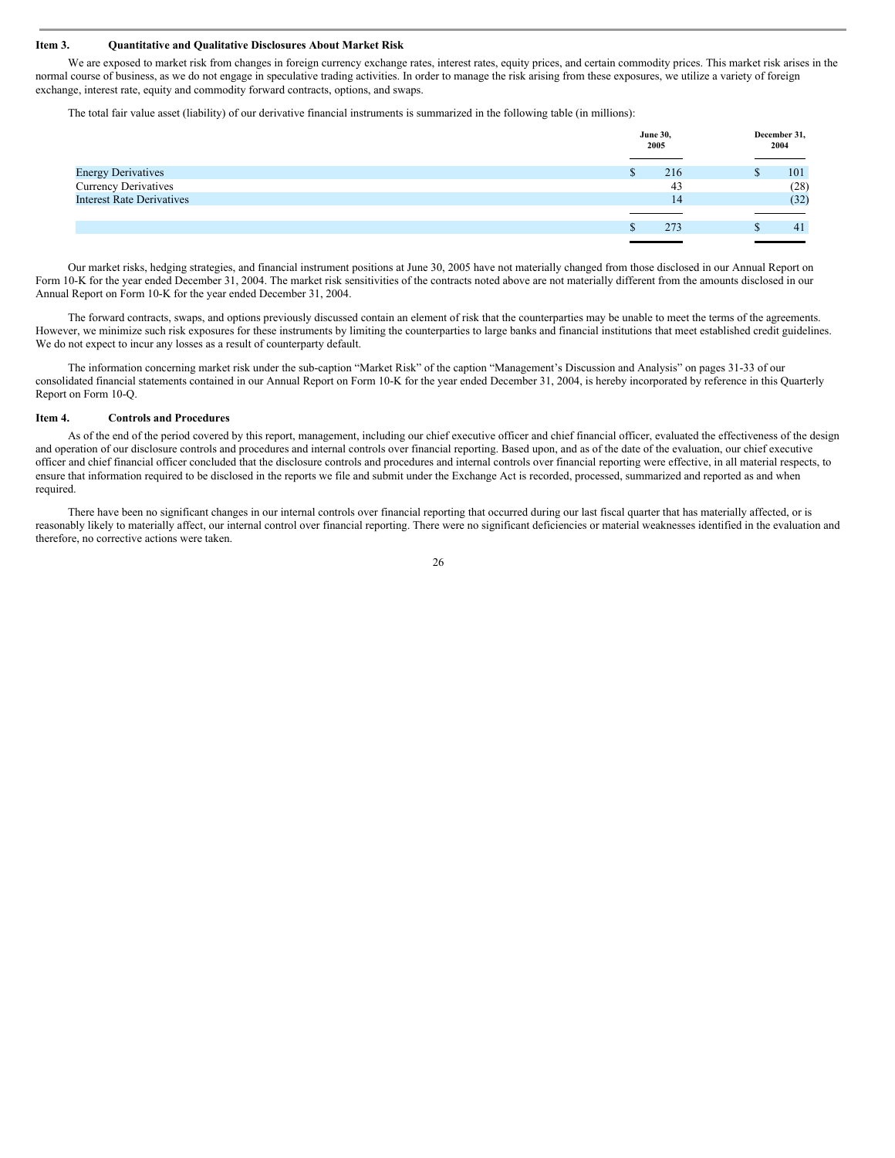#### **Item 3. Quantitative and Qualitative Disclosures About Market Risk**

We are exposed to market risk from changes in foreign currency exchange rates, interest rates, equity prices, and certain commodity prices. This market risk arises in the normal course of business, as we do not engage in speculative trading activities. In order to manage the risk arising from these exposures, we utilize a variety of foreign exchange, interest rate, equity and commodity forward contracts, options, and swaps.

The total fair value asset (liability) of our derivative financial instruments is summarized in the following table (in millions):

|                                  | <b>June 30,</b><br>2005 | December 31,<br>2004 |
|----------------------------------|-------------------------|----------------------|
| <b>Energy Derivatives</b>        | 216                     | 101                  |
| Currency Derivatives             | 43                      | (28)                 |
| <b>Interest Rate Derivatives</b> | 14                      | (32)                 |
|                                  |                         |                      |
|                                  | 273                     | 41                   |
|                                  |                         |                      |

Our market risks, hedging strategies, and financial instrument positions at June 30, 2005 have not materially changed from those disclosed in our Annual Report on Form 10-K for the year ended December 31, 2004. The market risk sensitivities of the contracts noted above are not materially different from the amounts disclosed in our Annual Report on Form 10-K for the year ended December 31, 2004.

The forward contracts, swaps, and options previously discussed contain an element of risk that the counterparties may be unable to meet the terms of the agreements. However, we minimize such risk exposures for these instruments by limiting the counterparties to large banks and financial institutions that meet established credit guidelines. We do not expect to incur any losses as a result of counterparty default.

The information concerning market risk under the sub-caption "Market Risk" of the caption "Management's Discussion and Analysis" on pages 31-33 of our consolidated financial statements contained in our Annual Report on Form 10-K for the year ended December 31, 2004, is hereby incorporated by reference in this Quarterly Report on Form 10-Q.

#### **Item 4. Controls and Procedures**

As of the end of the period covered by this report, management, including our chief executive officer and chief financial officer, evaluated the effectiveness of the design and operation of our disclosure controls and procedures and internal controls over financial reporting. Based upon, and as of the date of the evaluation, our chief executive officer and chief financial officer concluded that the disclosure controls and procedures and internal controls over financial reporting were effective, in all material respects, to ensure that information required to be disclosed in the reports we file and submit under the Exchange Act is recorded, processed, summarized and reported as and when required.

There have been no significant changes in our internal controls over financial reporting that occurred during our last fiscal quarter that has materially affected, or is reasonably likely to materially affect, our internal control over financial reporting. There were no significant deficiencies or material weaknesses identified in the evaluation and therefore, no corrective actions were taken.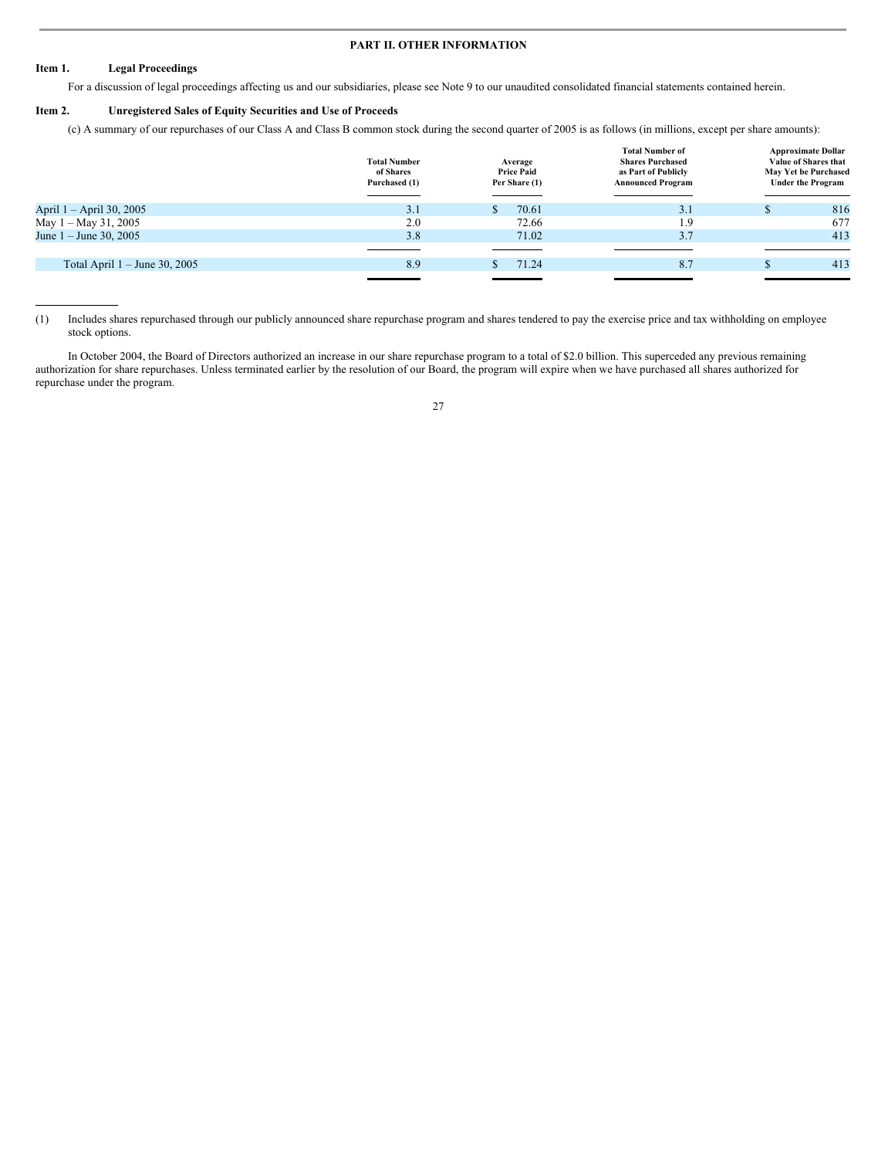# **PART II. OTHER INFORMATION**

#### **Item 1. Legal Proceedings**

For a discussion of legal proceedings affecting us and our subsidiaries, please see Note 9 to our unaudited consolidated financial statements contained herein.

# **Item 2. Unregistered Sales of Equity Securities and Use of Proceeds**

(c) A summary of our repurchases of our Class A and Class B common stock during the second quarter of 2005 is as follows (in millions, except per share amounts):

|                                 | <b>Total Number</b><br>of Shares<br>Purchased (1) | Average<br><b>Price Paid</b><br>Per Share (1) | <b>Total Number of</b><br><b>Shares Purchased</b><br>as Part of Publicly<br><b>Announced Program</b> | <b>Approximate Dollar</b><br>Value of Shares that<br>May Yet be Purchased<br><b>Under the Program</b> |
|---------------------------------|---------------------------------------------------|-----------------------------------------------|------------------------------------------------------------------------------------------------------|-------------------------------------------------------------------------------------------------------|
| April 1 – April 30, 2005        | 3.1                                               | 70.61                                         | 3.1                                                                                                  | 816                                                                                                   |
| May 1 – May 31, 2005            | 2.0                                               | 72.66                                         | 1.9                                                                                                  | 677                                                                                                   |
| June $1 -$ June 30, 2005        | 3.8                                               | 71.02                                         | 3.7                                                                                                  | 413                                                                                                   |
|                                 |                                                   |                                               |                                                                                                      |                                                                                                       |
| Total April $1 -$ June 30, 2005 | 8.9                                               | 71.24                                         | 8.7                                                                                                  | 413                                                                                                   |
|                                 |                                                   |                                               |                                                                                                      |                                                                                                       |

<sup>(1)</sup> Includes shares repurchased through our publicly announced share repurchase program and shares tendered to pay the exercise price and tax withholding on employee stock options.

In October 2004, the Board of Directors authorized an increase in our share repurchase program to a total of \$2.0 billion. This superceded any previous remaining authorization for share repurchases. Unless terminated earlier by the resolution of our Board, the program will expire when we have purchased all shares authorized for repurchase under the program.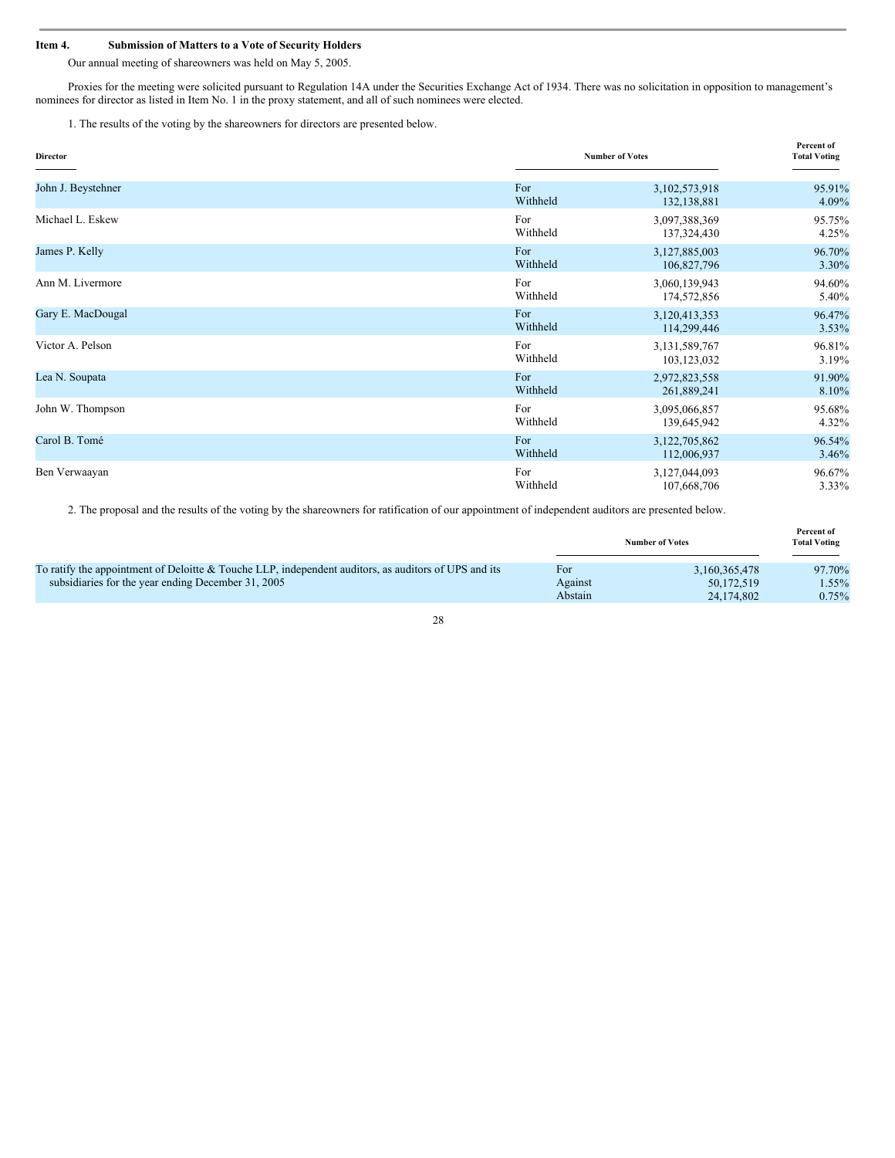# **Item 4. Submission of Matters to a Vote of Security Holders**

Our annual meeting of shareowners was held on May 5, 2005.

Proxies for the meeting were solicited pursuant to Regulation 14A under the Securities Exchange Act of 1934. There was no solicitation in opposition to management's nominees for director as listed in Item No. 1 in the proxy statement, and all of such nominees were elected.

1. The results of the voting by the shareowners for directors are presented below.

| <b>Director</b>    |          | <b>Number of Votes</b> |          |  |
|--------------------|----------|------------------------|----------|--|
| John J. Beystehner | For      | 3,102,573,918          | 95.91%   |  |
|                    | Withheld | 132,138,881            | 4.09%    |  |
| Michael L. Eskew   | For      | 3,097,388,369          | 95.75%   |  |
|                    | Withheld | 137,324,430            | 4.25%    |  |
| James P. Kelly     | For      | 3,127,885,003          | 96.70%   |  |
|                    | Withheld | 106,827,796            | 3.30%    |  |
| Ann M. Livermore   | For      | 3,060,139,943          | 94.60%   |  |
|                    | Withheld | 174,572,856            | 5.40%    |  |
| Gary E. MacDougal  | For      | 3,120,413,353          | 96.47%   |  |
|                    | Withheld | 114,299,446            | $3.53\%$ |  |
| Victor A. Pelson   | For      | 3,131,589,767          | 96.81%   |  |
|                    | Withheld | 103,123,032            | 3.19%    |  |
| Lea N. Soupata     | For      | 2,972,823,558          | 91.90%   |  |
|                    | Withheld | 261,889,241            | 8.10%    |  |
| John W. Thompson   | For      | 3,095,066,857          | 95.68%   |  |
|                    | Withheld | 139,645,942            | 4.32%    |  |
| Carol B. Tomé      | For      | 3,122,705,862          | 96.54%   |  |
|                    | Withheld | 112,006,937            | 3.46%    |  |
| Ben Verwaayan      | For      | 3,127,044,093          | 96.67%   |  |
|                    | Withheld | 107,668,706            | 3.33%    |  |

2. The proposal and the results of the voting by the shareowners for ratification of our appointment of independent auditors are presented below.

|                                                                                                      |         | <b>Number of Votes</b> | Percent of<br><b>Total Voting</b> |
|------------------------------------------------------------------------------------------------------|---------|------------------------|-----------------------------------|
| To ratify the appointment of Deloitte & Touche LLP, independent auditors, as auditors of UPS and its | For     | 3.160.365.478          | 97.70%                            |
| subsidiaries for the year ending December 31, 2005                                                   | Against | 50.172.519             | $1.55\%$                          |
|                                                                                                      | Abstain | 24.174.802             | $0.75\%$                          |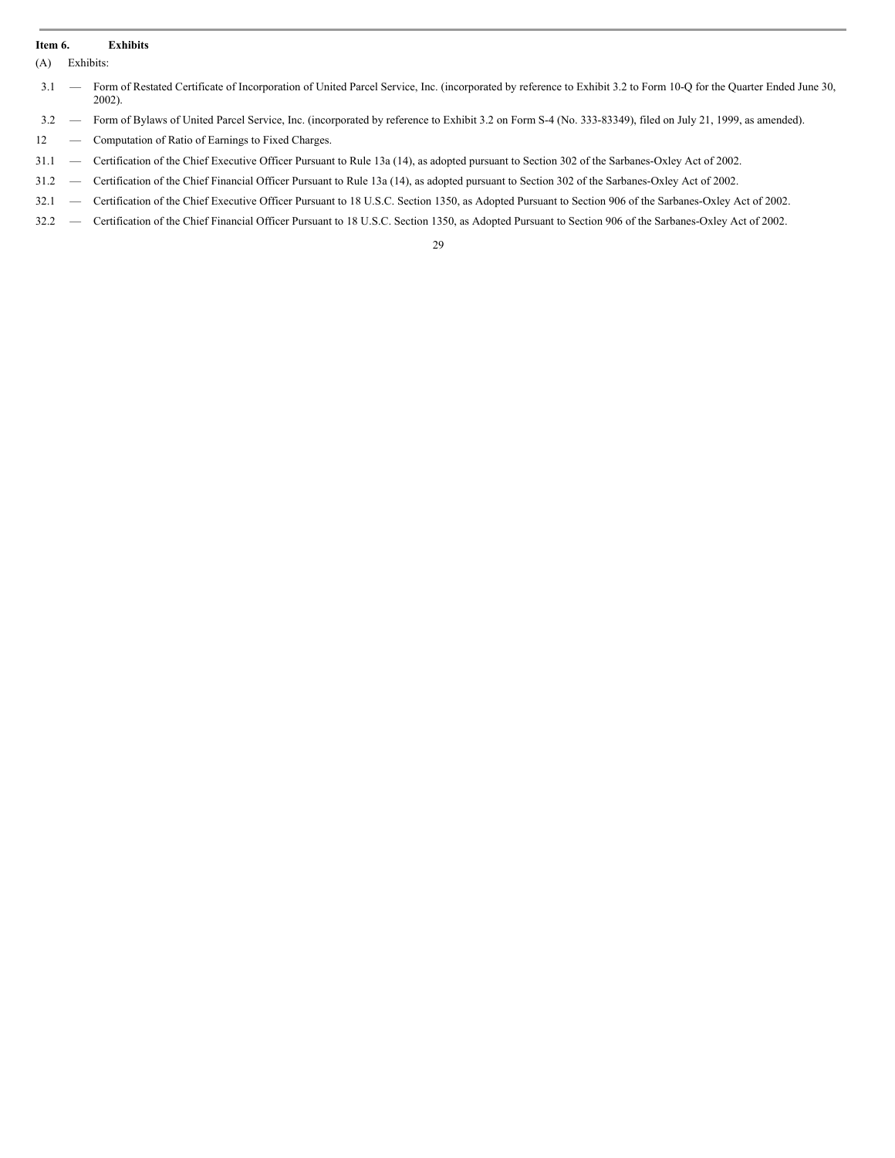# **Item 6. Exhibits**

(A) Exhibits:

- 3.1 Form of Restated Certificate of Incorporation of United Parcel Service, Inc. (incorporated by reference to Exhibit 3.2 to Form 10-Q for the Quarter Ended June 30, 2002).
- 3.2 Form of Bylaws of United Parcel Service, Inc. (incorporated by reference to Exhibit 3.2 on Form S-4 (No. 333-83349), filed on July 21, 1999, as amended).
- 12 Computation of Ratio of Earnings to Fixed Charges.
- 31.1 Certification of the Chief Executive Officer Pursuant to Rule 13a (14), as adopted pursuant to Section 302 of the Sarbanes-Oxley Act of 2002.
- 31.2 Certification of the Chief Financial Officer Pursuant to Rule 13a (14), as adopted pursuant to Section 302 of the Sarbanes-Oxley Act of 2002.
- 32.1 Certification of the Chief Executive Officer Pursuant to 18 U.S.C. Section 1350, as Adopted Pursuant to Section 906 of the Sarbanes-Oxley Act of 2002.
- 32.2 Certification of the Chief Financial Officer Pursuant to 18 U.S.C. Section 1350, as Adopted Pursuant to Section 906 of the Sarbanes-Oxley Act of 2002.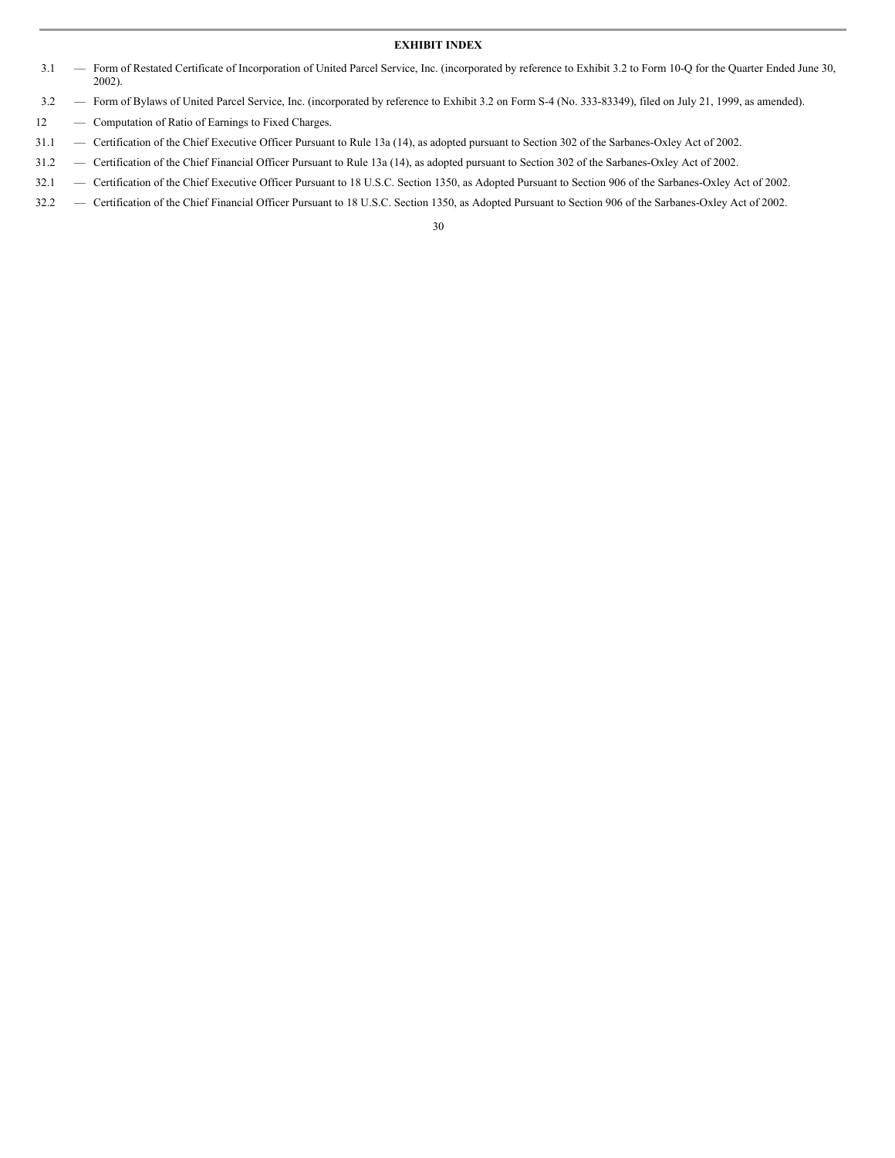# **EXHIBIT INDEX**

- 3.1 Form of Restated Certificate of Incorporation of United Parcel Service, Inc. (incorporated by reference to Exhibit 3.2 to Form 10-Q for the Quarter Ended June 30, 2002).
- 3.2 Form of Bylaws of United Parcel Service, Inc. (incorporated by reference to Exhibit 3.2 on Form S-4 (No. 333-83349), filed on July 21, 1999, as amended).
- 12 Computation of Ratio of Earnings to Fixed Charges.
- 31.1 Certification of the Chief Executive Officer Pursuant to Rule 13a (14), as adopted pursuant to Section 302 of the Sarbanes-Oxley Act of 2002.
- 31.2 Certification of the Chief Financial Officer Pursuant to Rule 13a (14), as adopted pursuant to Section 302 of the Sarbanes-Oxley Act of 2002.
- 32.1 Certification of the Chief Executive Officer Pursuant to 18 U.S.C. Section 1350, as Adopted Pursuant to Section 906 of the Sarbanes-Oxley Act of 2002.
- 32.2 Certification of the Chief Financial Officer Pursuant to 18 U.S.C. Section 1350, as Adopted Pursuant to Section 906 of the Sarbanes-Oxley Act of 2002.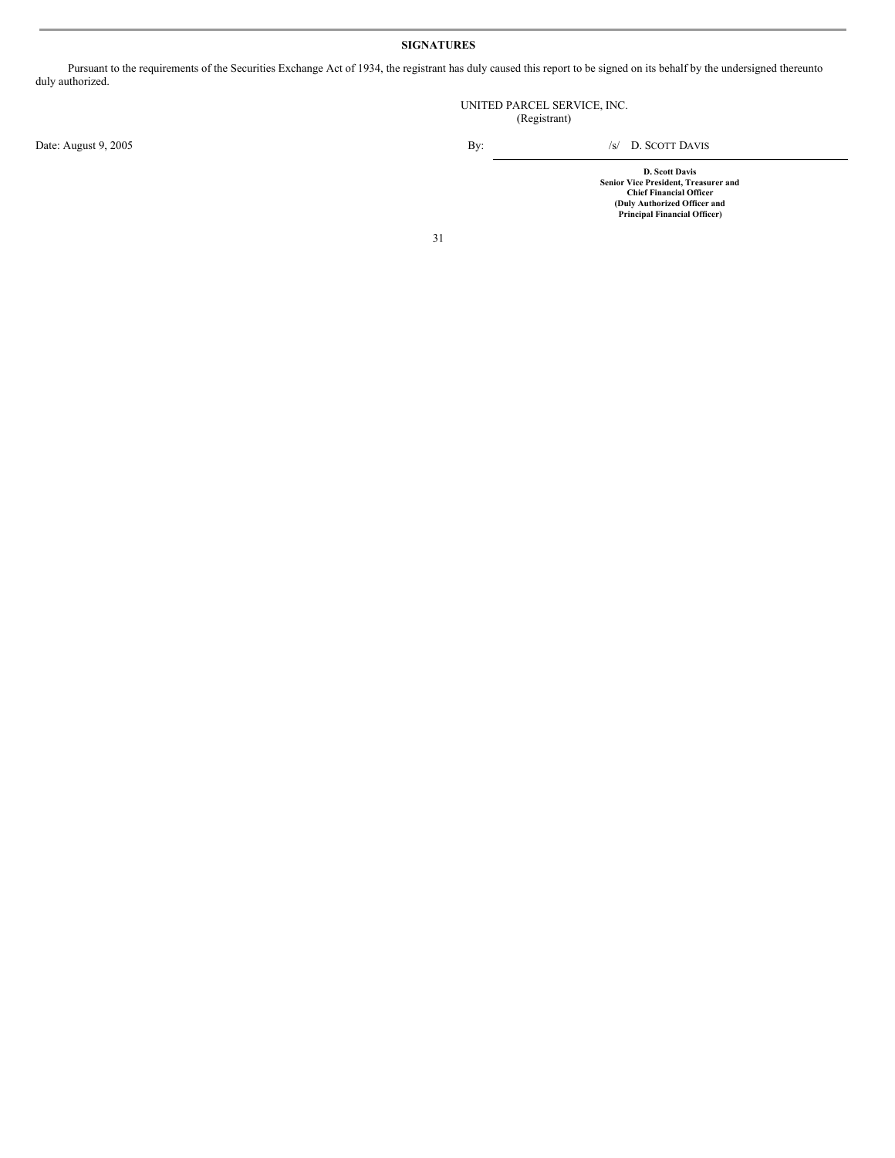# **SIGNATURES**

Pursuant to the requirements of the Securities Exchange Act of 1934, the registrant has duly caused this report to be signed on its behalf by the undersigned thereunto duly authorized.

> UNITED PARCEL SERVICE, INC. (Registrant)

Date: August 9, 2005 By: /s/ D. SCOTT DAVIS

**D. Scott Davis<br>Senior Vice President, Treasurer and<br>Chief Financial Officer<br>(Duly Authorized Officer and<br>Principal Financial Officer)**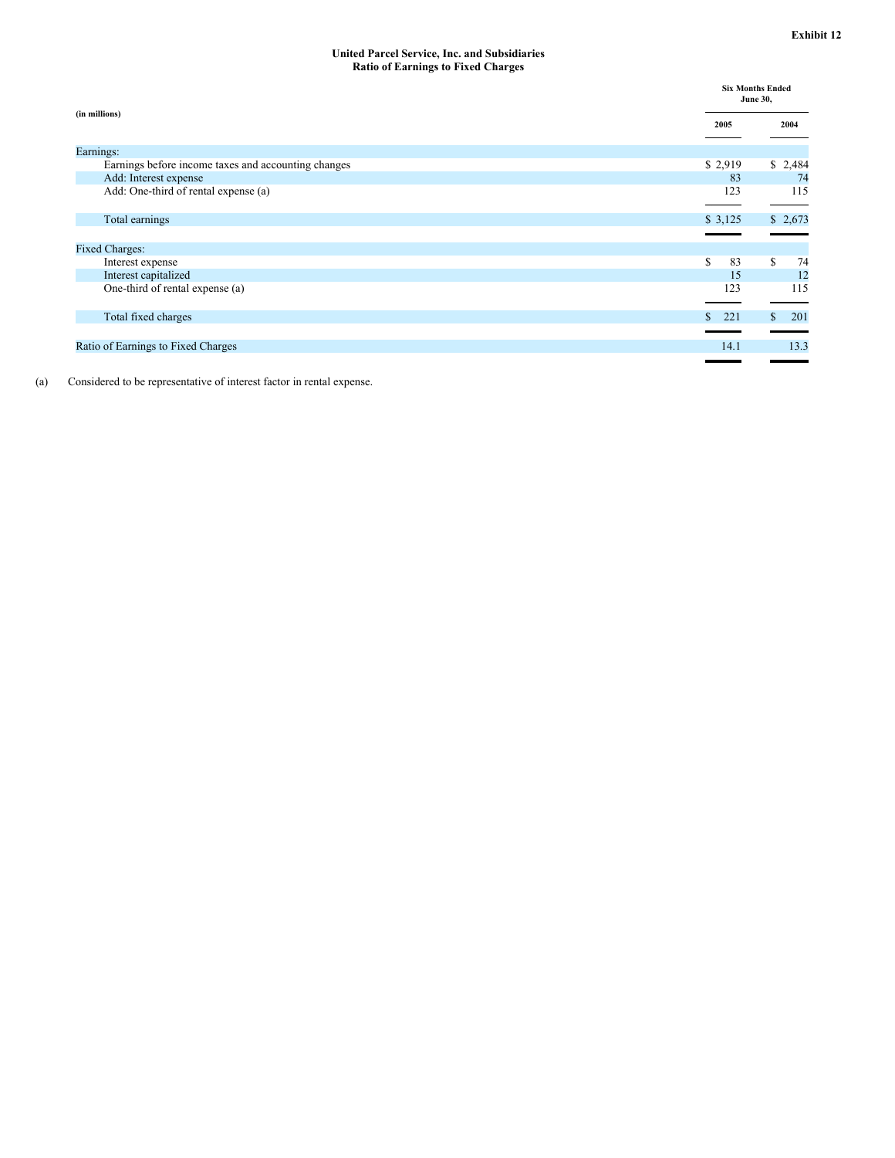# **United Parcel Service, Inc. and Subsidiaries Ratio of Earnings to Fixed Charges**

|                                                     |         | <b>Six Months Ended</b><br><b>June 30,</b> |
|-----------------------------------------------------|---------|--------------------------------------------|
| (in millions)                                       | 2005    | 2004                                       |
| Earnings:                                           |         |                                            |
| Earnings before income taxes and accounting changes | \$2,919 | \$2,484                                    |
| Add: Interest expense                               | 83      | 74                                         |
| Add: One-third of rental expense (a)                | 123     | 115                                        |
| Total earnings                                      | \$3,125 | \$2,673                                    |
|                                                     |         |                                            |
| <b>Fixed Charges:</b>                               |         |                                            |
| Interest expense                                    | S<br>83 | $\mathbf S$<br>74                          |
| Interest capitalized                                | 15      | 12                                         |
| One-third of rental expense (a)                     | 123     | 115                                        |
| Total fixed charges                                 | 221     | 201<br>\$                                  |
|                                                     |         |                                            |
| Ratio of Earnings to Fixed Charges                  | 14.1    | 13.3                                       |

(a) Considered to be representative of interest factor in rental expense.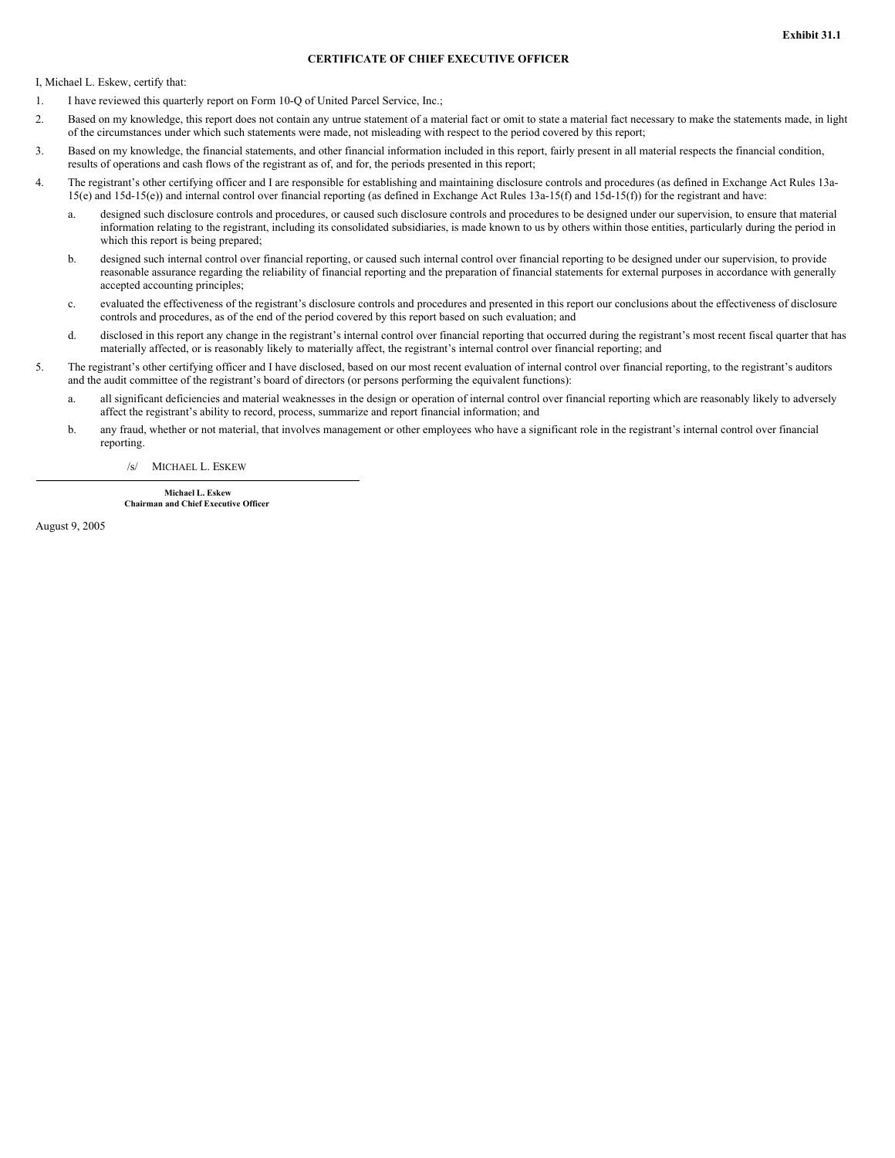# **CERTIFICATE OF CHIEF EXECUTIVE OFFICER**

I, Michael L. Eskew, certify that:

- 1. I have reviewed this quarterly report on Form 10-Q of United Parcel Service, Inc.;
- 2. Based on my knowledge, this report does not contain any untrue statement of a material fact or omit to state a material fact necessary to make the statements made, in light of the circumstances under which such statements were made, not misleading with respect to the period covered by this report;
- 3. Based on my knowledge, the financial statements, and other financial information included in this report, fairly present in all material respects the financial condition, results of operations and cash flows of the registrant as of, and for, the periods presented in this report;
- 4. The registrant's other certifying officer and I are responsible for establishing and maintaining disclosure controls and procedures (as defined in Exchange Act Rules 13a-15(e) and 15d-15(e)) and internal control over financial reporting (as defined in Exchange Act Rules 13a-15(f) and 15d-15(f)) for the registrant and have:
	- a. designed such disclosure controls and procedures, or caused such disclosure controls and procedures to be designed under our supervision, to ensure that material information relating to the registrant, including its consolidated subsidiaries, is made known to us by others within those entities, particularly during the period in which this report is being prepared;
	- b. designed such internal control over financial reporting, or caused such internal control over financial reporting to be designed under our supervision, to provide reasonable assurance regarding the reliability of financial reporting and the preparation of financial statements for external purposes in accordance with generally accepted accounting principles;
	- c. evaluated the effectiveness of the registrant's disclosure controls and procedures and presented in this report our conclusions about the effectiveness of disclosure controls and procedures, as of the end of the period covered by this report based on such evaluation; and
	- d. disclosed in this report any change in the registrant's internal control over financial reporting that occurred during the registrant's most recent fiscal quarter that has materially affected, or is reasonably likely to materially affect, the registrant's internal control over financial reporting; and
- 5. The registrant's other certifying officer and I have disclosed, based on our most recent evaluation of internal control over financial reporting, to the registrant's auditors and the audit committee of the registrant's board of directors (or persons performing the equivalent functions):
	- a. all significant deficiencies and material weaknesses in the design or operation of internal control over financial reporting which are reasonably likely to adversely affect the registrant's ability to record, process, summarize and report financial information; and
	- b. any fraud, whether or not material, that involves management or other employees who have a significant role in the registrant's internal control over financial reporting.

/s/ MICHAEL L. ESKEW

**Michael L. Eskew Chairman and Chief Executive Officer**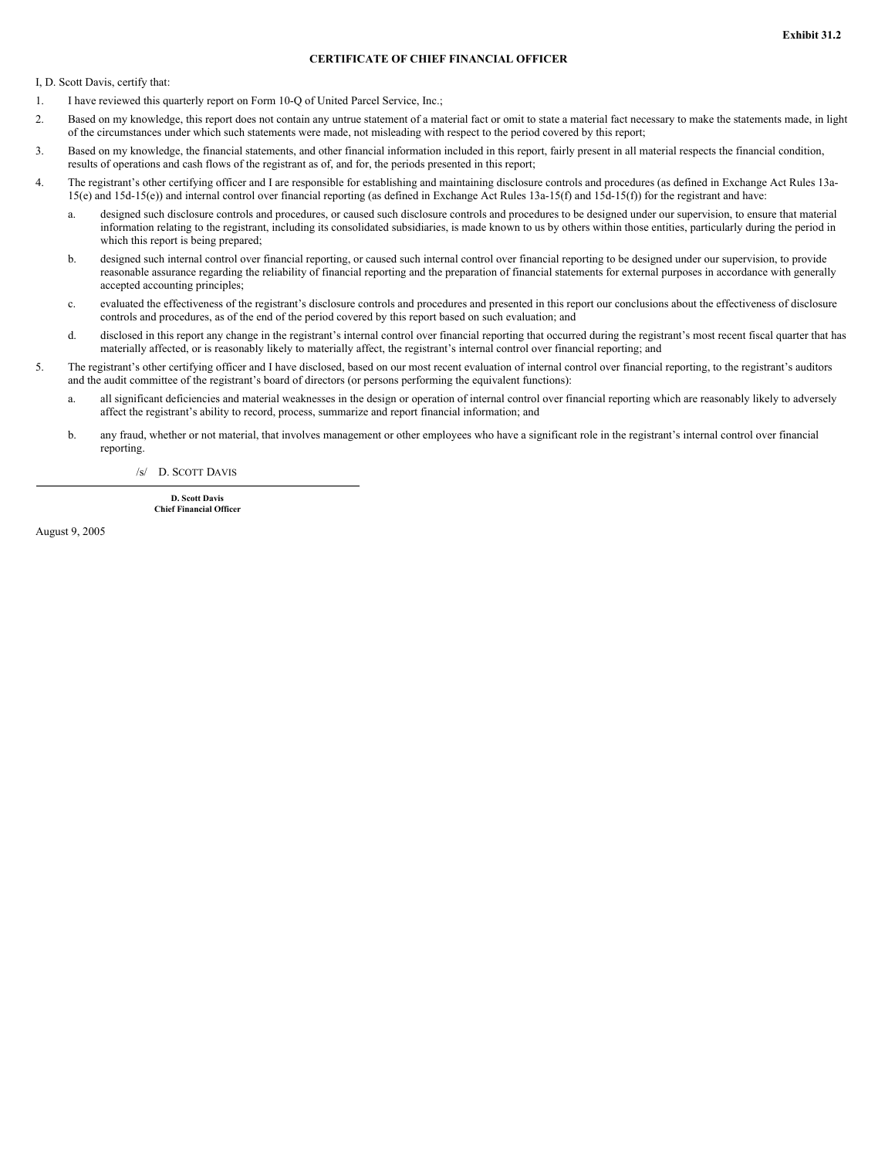# **CERTIFICATE OF CHIEF FINANCIAL OFFICER**

I, D. Scott Davis, certify that:

- 1. I have reviewed this quarterly report on Form 10-Q of United Parcel Service, Inc.;
- 2. Based on my knowledge, this report does not contain any untrue statement of a material fact or omit to state a material fact necessary to make the statements made, in light of the circumstances under which such statements were made, not misleading with respect to the period covered by this report;
- 3. Based on my knowledge, the financial statements, and other financial information included in this report, fairly present in all material respects the financial condition, results of operations and cash flows of the registrant as of, and for, the periods presented in this report;
- 4. The registrant's other certifying officer and I are responsible for establishing and maintaining disclosure controls and procedures (as defined in Exchange Act Rules 13a-15(e) and 15d-15(e)) and internal control over financial reporting (as defined in Exchange Act Rules 13a-15(f) and 15d-15(f)) for the registrant and have:
	- a. designed such disclosure controls and procedures, or caused such disclosure controls and procedures to be designed under our supervision, to ensure that material information relating to the registrant, including its consolidated subsidiaries, is made known to us by others within those entities, particularly during the period in which this report is being prepared;
	- b. designed such internal control over financial reporting, or caused such internal control over financial reporting to be designed under our supervision, to provide reasonable assurance regarding the reliability of financial reporting and the preparation of financial statements for external purposes in accordance with generally accepted accounting principles;
	- c. evaluated the effectiveness of the registrant's disclosure controls and procedures and presented in this report our conclusions about the effectiveness of disclosure controls and procedures, as of the end of the period covered by this report based on such evaluation; and
	- d. disclosed in this report any change in the registrant's internal control over financial reporting that occurred during the registrant's most recent fiscal quarter that has materially affected, or is reasonably likely to materially affect, the registrant's internal control over financial reporting; and
- 5. The registrant's other certifying officer and I have disclosed, based on our most recent evaluation of internal control over financial reporting, to the registrant's auditors and the audit committee of the registrant's board of directors (or persons performing the equivalent functions):
	- a. all significant deficiencies and material weaknesses in the design or operation of internal control over financial reporting which are reasonably likely to adversely affect the registrant's ability to record, process, summarize and report financial information; and
	- b. any fraud, whether or not material, that involves management or other employees who have a significant role in the registrant's internal control over financial reporting.

/s/ D. SCOTT DAVIS

**D. Scott Davis Chief Financial Officer**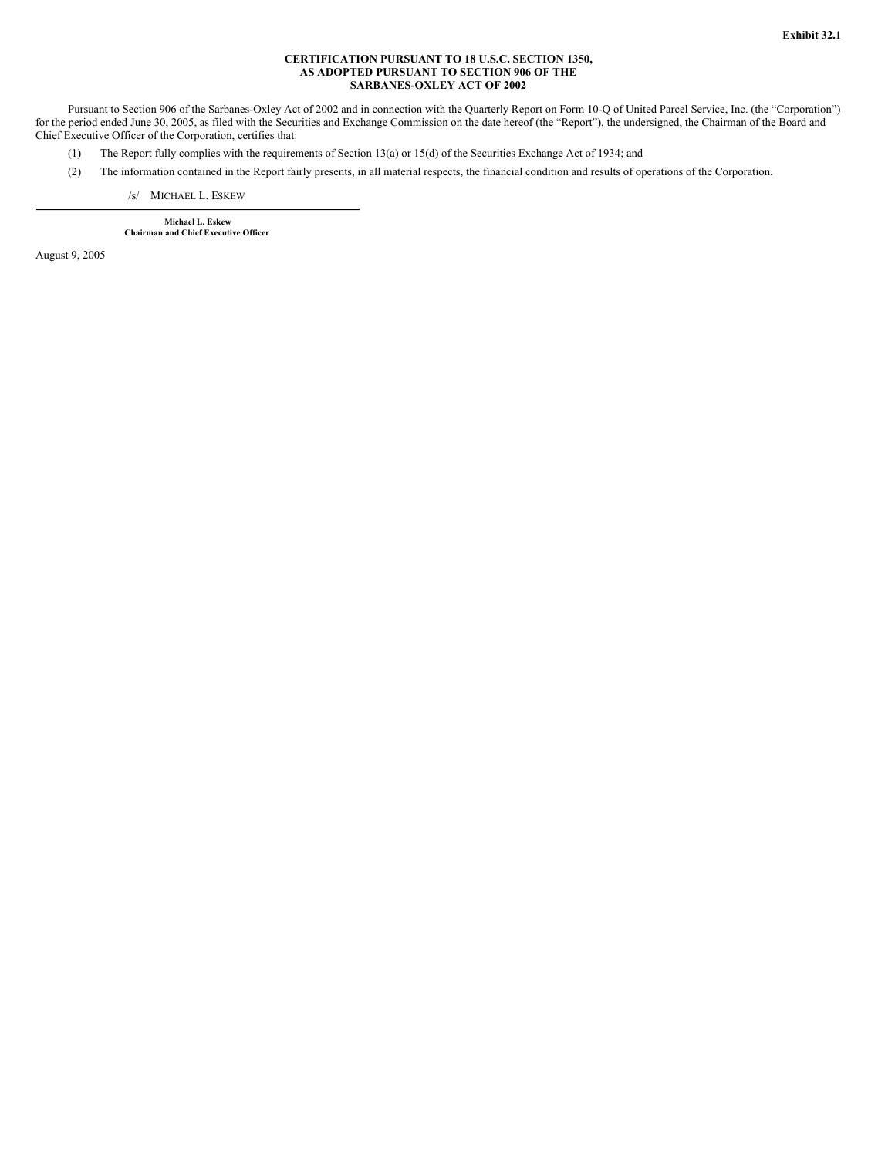# **CERTIFICATION PURSUANT TO 18 U.S.C. SECTION 1350, AS ADOPTED PURSUANT TO SECTION 906 OF THE SARBANES-OXLEY ACT OF 2002**

Pursuant to Section 906 of the Sarbanes-Oxley Act of 2002 and in connection with the Quarterly Report on Form 10-Q of United Parcel Service, Inc. (the "Corporation") for the period ended June 30, 2005, as filed with the Securities and Exchange Commission on the date hereof (the "Report"), the undersigned, the Chairman of the Board and Chief Executive Officer of the Corporation, certifies that:

- (1) The Report fully complies with the requirements of Section 13(a) or 15(d) of the Securities Exchange Act of 1934; and
- (2) The information contained in the Report fairly presents, in all material respects, the financial condition and results of operations of the Corporation.

/s/ MICHAEL L. ESKEW

**Michael L. Eskew Chairman and Chief Executive Officer**